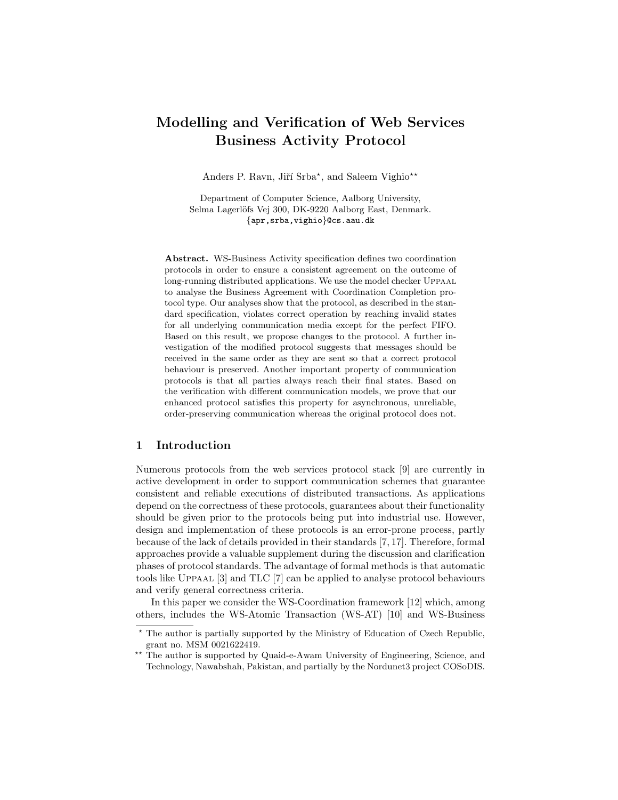# Modelling and Verification of Web Services Business Activity Protocol

Anders P. Ravn, Jiří Srba\*, and Saleem Vighio\*\*

Department of Computer Science, Aalborg University, Selma Lagerlöfs Vej 300, DK-9220 Aalborg East, Denmark. {apr,srba,vighio}@cs.aau.dk

Abstract. WS-Business Activity specification defines two coordination protocols in order to ensure a consistent agreement on the outcome of long-running distributed applications. We use the model checker UPPAAL to analyse the Business Agreement with Coordination Completion protocol type. Our analyses show that the protocol, as described in the standard specification, violates correct operation by reaching invalid states for all underlying communication media except for the perfect FIFO. Based on this result, we propose changes to the protocol. A further investigation of the modified protocol suggests that messages should be received in the same order as they are sent so that a correct protocol behaviour is preserved. Another important property of communication protocols is that all parties always reach their final states. Based on the verification with different communication models, we prove that our enhanced protocol satisfies this property for asynchronous, unreliable, order-preserving communication whereas the original protocol does not.

# 1 Introduction

Numerous protocols from the web services protocol stack [9] are currently in active development in order to support communication schemes that guarantee consistent and reliable executions of distributed transactions. As applications depend on the correctness of these protocols, guarantees about their functionality should be given prior to the protocols being put into industrial use. However, design and implementation of these protocols is an error-prone process, partly because of the lack of details provided in their standards [7, 17]. Therefore, formal approaches provide a valuable supplement during the discussion and clarification phases of protocol standards. The advantage of formal methods is that automatic tools like Uppaal [3] and TLC [7] can be applied to analyse protocol behaviours and verify general correctness criteria.

In this paper we consider the WS-Coordination framework [12] which, among others, includes the WS-Atomic Transaction (WS-AT) [10] and WS-Business

<sup>?</sup> The author is partially supported by the Ministry of Education of Czech Republic, grant no. MSM 0021622419.

<sup>\*\*</sup> The author is supported by Quaid-e-Awam University of Engineering, Science, and Technology, Nawabshah, Pakistan, and partially by the Nordunet3 project COSoDIS.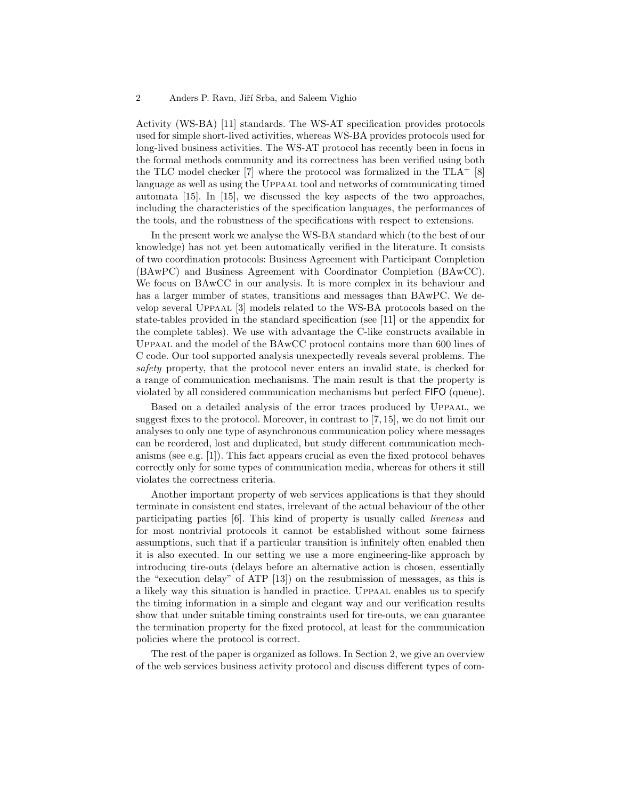Activity (WS-BA) [11] standards. The WS-AT specification provides protocols used for simple short-lived activities, whereas WS-BA provides protocols used for long-lived business activities. The WS-AT protocol has recently been in focus in the formal methods community and its correctness has been verified using both the TLC model checker [7] where the protocol was formalized in the  $TLA<sup>+</sup>$  [8] language as well as using the UPPAAL tool and networks of communicating timed automata [15]. In [15], we discussed the key aspects of the two approaches, including the characteristics of the specification languages, the performances of the tools, and the robustness of the specifications with respect to extensions.

In the present work we analyse the WS-BA standard which (to the best of our knowledge) has not yet been automatically verified in the literature. It consists of two coordination protocols: Business Agreement with Participant Completion (BAwPC) and Business Agreement with Coordinator Completion (BAwCC). We focus on BAwCC in our analysis. It is more complex in its behaviour and has a larger number of states, transitions and messages than BAwPC. We develop several Uppaal [3] models related to the WS-BA protocols based on the state-tables provided in the standard specification (see [11] or the appendix for the complete tables). We use with advantage the C-like constructs available in Uppaal and the model of the BAwCC protocol contains more than 600 lines of C code. Our tool supported analysis unexpectedly reveals several problems. The safety property, that the protocol never enters an invalid state, is checked for a range of communication mechanisms. The main result is that the property is violated by all considered communication mechanisms but perfect FIFO (queue).

Based on a detailed analysis of the error traces produced by Uppaal, we suggest fixes to the protocol. Moreover, in contrast to [7, 15], we do not limit our analyses to only one type of asynchronous communication policy where messages can be reordered, lost and duplicated, but study different communication mechanisms (see e.g.  $[1]$ ). This fact appears crucial as even the fixed protocol behaves correctly only for some types of communication media, whereas for others it still violates the correctness criteria.

Another important property of web services applications is that they should terminate in consistent end states, irrelevant of the actual behaviour of the other participating parties [6]. This kind of property is usually called liveness and for most nontrivial protocols it cannot be established without some fairness assumptions, such that if a particular transition is infinitely often enabled then it is also executed. In our setting we use a more engineering-like approach by introducing tire-outs (delays before an alternative action is chosen, essentially the "execution delay" of ATP [13]) on the resubmission of messages, as this is a likely way this situation is handled in practice. UPPAAL enables us to specify the timing information in a simple and elegant way and our verification results show that under suitable timing constraints used for tire-outs, we can guarantee the termination property for the fixed protocol, at least for the communication policies where the protocol is correct.

The rest of the paper is organized as follows. In Section 2, we give an overview of the web services business activity protocol and discuss different types of com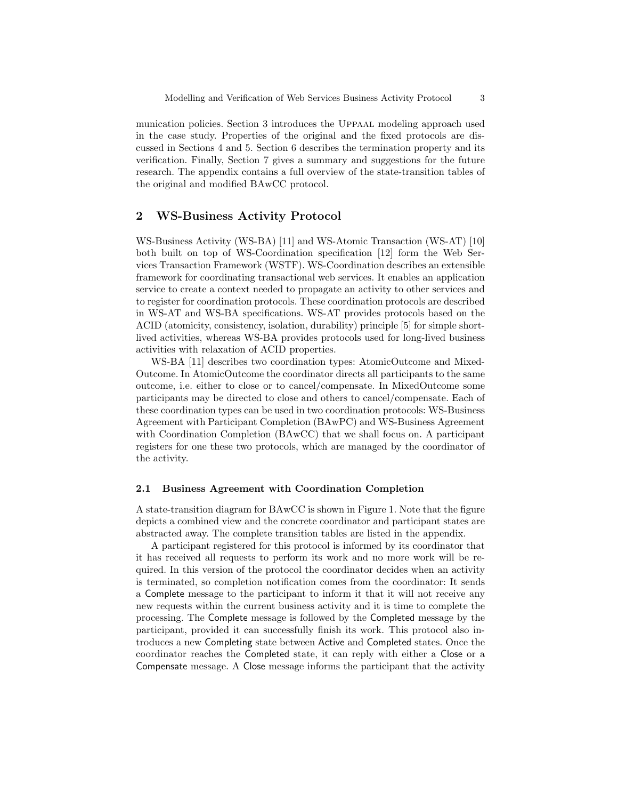munication policies. Section 3 introduces the Uppaal modeling approach used in the case study. Properties of the original and the fixed protocols are discussed in Sections 4 and 5. Section 6 describes the termination property and its verification. Finally, Section 7 gives a summary and suggestions for the future research. The appendix contains a full overview of the state-transition tables of the original and modified BAwCC protocol.

# 2 WS-Business Activity Protocol

WS-Business Activity (WS-BA) [11] and WS-Atomic Transaction (WS-AT) [10] both built on top of WS-Coordination specification [12] form the Web Services Transaction Framework (WSTF). WS-Coordination describes an extensible framework for coordinating transactional web services. It enables an application service to create a context needed to propagate an activity to other services and to register for coordination protocols. These coordination protocols are described in WS-AT and WS-BA specifications. WS-AT provides protocols based on the ACID (atomicity, consistency, isolation, durability) principle [5] for simple shortlived activities, whereas WS-BA provides protocols used for long-lived business activities with relaxation of ACID properties.

WS-BA [11] describes two coordination types: AtomicOutcome and Mixed-Outcome. In AtomicOutcome the coordinator directs all participants to the same outcome, i.e. either to close or to cancel/compensate. In MixedOutcome some participants may be directed to close and others to cancel/compensate. Each of these coordination types can be used in two coordination protocols: WS-Business Agreement with Participant Completion (BAwPC) and WS-Business Agreement with Coordination Completion (BAwCC) that we shall focus on. A participant registers for one these two protocols, which are managed by the coordinator of the activity.

### 2.1 Business Agreement with Coordination Completion

A state-transition diagram for BAwCC is shown in Figure 1. Note that the figure depicts a combined view and the concrete coordinator and participant states are abstracted away. The complete transition tables are listed in the appendix.

A participant registered for this protocol is informed by its coordinator that it has received all requests to perform its work and no more work will be required. In this version of the protocol the coordinator decides when an activity is terminated, so completion notification comes from the coordinator: It sends a Complete message to the participant to inform it that it will not receive any new requests within the current business activity and it is time to complete the processing. The Complete message is followed by the Completed message by the participant, provided it can successfully finish its work. This protocol also introduces a new Completing state between Active and Completed states. Once the coordinator reaches the Completed state, it can reply with either a Close or a Compensate message. A Close message informs the participant that the activity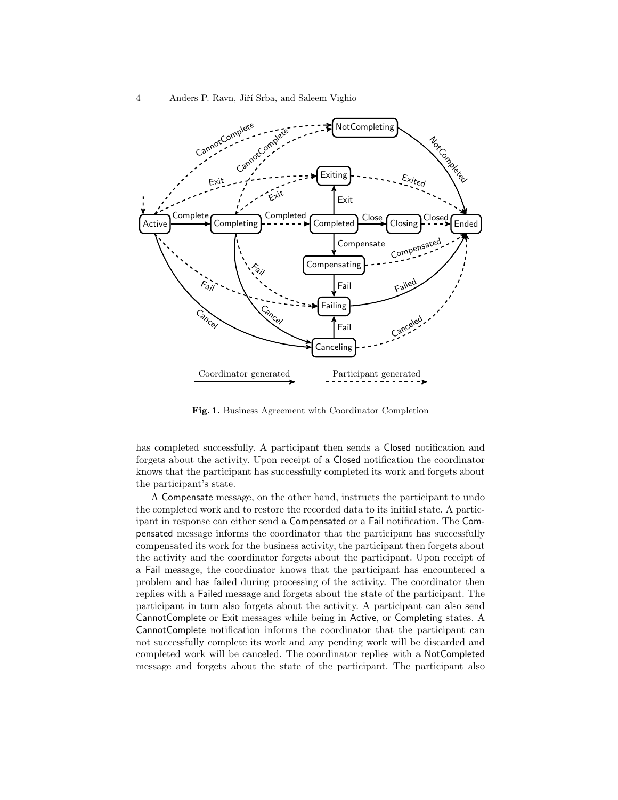

Fig. 1. Business Agreement with Coordinator Completion

has completed successfully. A participant then sends a Closed notification and forgets about the activity. Upon receipt of a Closed notification the coordinator knows that the participant has successfully completed its work and forgets about the participant's state.

A Compensate message, on the other hand, instructs the participant to undo the completed work and to restore the recorded data to its initial state. A participant in response can either send a Compensated or a Fail notification. The Compensated message informs the coordinator that the participant has successfully compensated its work for the business activity, the participant then forgets about the activity and the coordinator forgets about the participant. Upon receipt of a Fail message, the coordinator knows that the participant has encountered a problem and has failed during processing of the activity. The coordinator then replies with a Failed message and forgets about the state of the participant. The participant in turn also forgets about the activity. A participant can also send CannotComplete or Exit messages while being in Active, or Completing states. A CannotComplete notification informs the coordinator that the participant can not successfully complete its work and any pending work will be discarded and completed work will be canceled. The coordinator replies with a NotCompleted message and forgets about the state of the participant. The participant also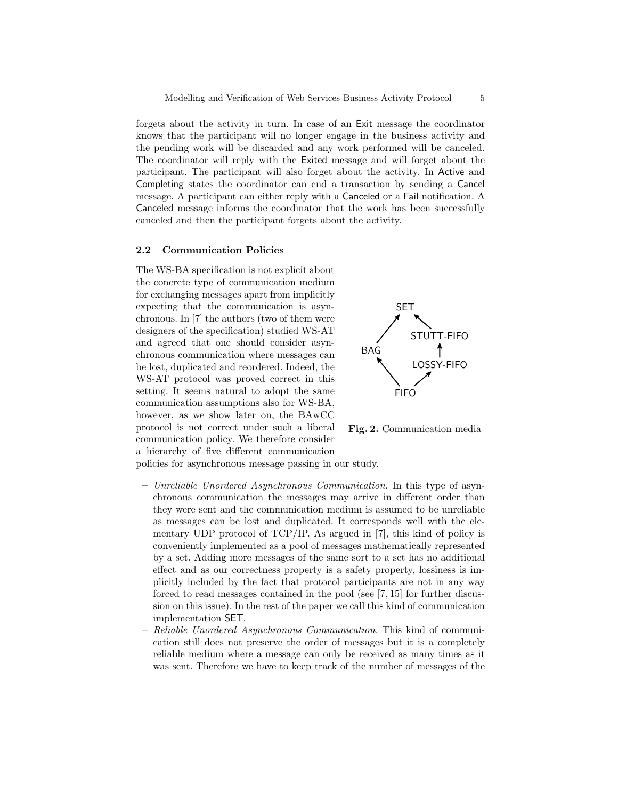forgets about the activity in turn. In case of an Exit message the coordinator knows that the participant will no longer engage in the business activity and the pending work will be discarded and any work performed will be canceled. The coordinator will reply with the Exited message and will forget about the participant. The participant will also forget about the activity. In Active and Completing states the coordinator can end a transaction by sending a Cancel message. A participant can either reply with a Canceled or a Fail notification. A Canceled message informs the coordinator that the work has been successfully canceled and then the participant forgets about the activity.

### 2.2 Communication Policies

The WS-BA specification is not explicit about the concrete type of communication medium for exchanging messages apart from implicitly expecting that the communication is asynchronous. In [7] the authors (two of them were designers of the specification) studied WS-AT and agreed that one should consider asynchronous communication where messages can be lost, duplicated and reordered. Indeed, the WS-AT protocol was proved correct in this setting. It seems natural to adopt the same communication assumptions also for WS-BA, however, as we show later on, the BAwCC protocol is not correct under such a liberal communication policy. We therefore consider a hierarchy of five different communication



Fig. 2. Communication media

policies for asynchronous message passing in our study.

- Unreliable Unordered Asynchronous Communication. In this type of asynchronous communication the messages may arrive in different order than they were sent and the communication medium is assumed to be unreliable as messages can be lost and duplicated. It corresponds well with the elementary UDP protocol of TCP/IP. As argued in [7], this kind of policy is conveniently implemented as a pool of messages mathematically represented by a set. Adding more messages of the same sort to a set has no additional effect and as our correctness property is a safety property, lossiness is implicitly included by the fact that protocol participants are not in any way forced to read messages contained in the pool (see [7, 15] for further discussion on this issue). In the rest of the paper we call this kind of communication implementation SET.
- Reliable Unordered Asynchronous Communication. This kind of communication still does not preserve the order of messages but it is a completely reliable medium where a message can only be received as many times as it was sent. Therefore we have to keep track of the number of messages of the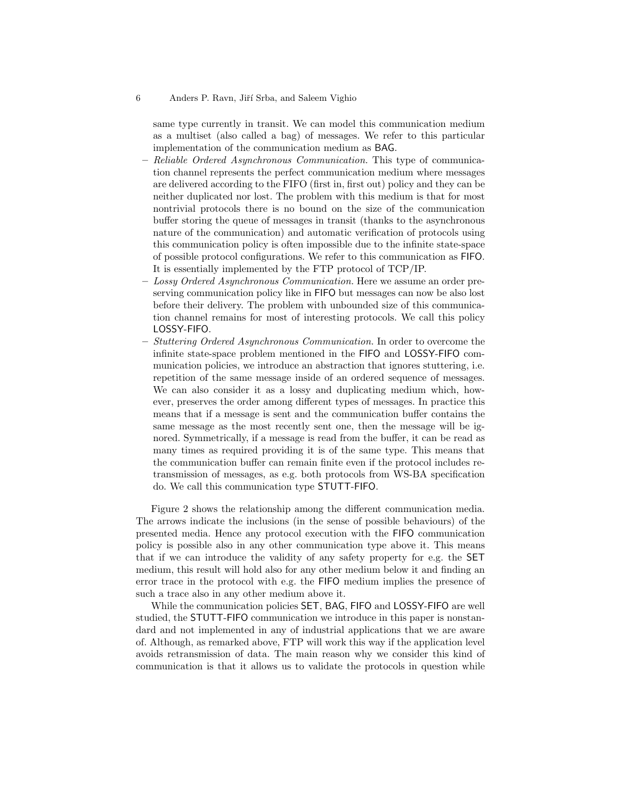same type currently in transit. We can model this communication medium as a multiset (also called a bag) of messages. We refer to this particular implementation of the communication medium as BAG.

- Reliable Ordered Asynchronous Communication. This type of communication channel represents the perfect communication medium where messages are delivered according to the FIFO (first in, first out) policy and they can be neither duplicated nor lost. The problem with this medium is that for most nontrivial protocols there is no bound on the size of the communication buffer storing the queue of messages in transit (thanks to the asynchronous nature of the communication) and automatic verification of protocols using this communication policy is often impossible due to the infinite state-space of possible protocol configurations. We refer to this communication as FIFO. It is essentially implemented by the FTP protocol of TCP/IP.
- Lossy Ordered Asynchronous Communication. Here we assume an order preserving communication policy like in FIFO but messages can now be also lost before their delivery. The problem with unbounded size of this communication channel remains for most of interesting protocols. We call this policy LOSSY-FIFO.
- Stuttering Ordered Asynchronous Communication. In order to overcome the infinite state-space problem mentioned in the FIFO and LOSSY-FIFO communication policies, we introduce an abstraction that ignores stuttering, i.e. repetition of the same message inside of an ordered sequence of messages. We can also consider it as a lossy and duplicating medium which, however, preserves the order among different types of messages. In practice this means that if a message is sent and the communication buffer contains the same message as the most recently sent one, then the message will be ignored. Symmetrically, if a message is read from the buffer, it can be read as many times as required providing it is of the same type. This means that the communication buffer can remain finite even if the protocol includes retransmission of messages, as e.g. both protocols from WS-BA specification do. We call this communication type STUTT-FIFO.

Figure 2 shows the relationship among the different communication media. The arrows indicate the inclusions (in the sense of possible behaviours) of the presented media. Hence any protocol execution with the FIFO communication policy is possible also in any other communication type above it. This means that if we can introduce the validity of any safety property for e.g. the SET medium, this result will hold also for any other medium below it and finding an error trace in the protocol with e.g. the FIFO medium implies the presence of such a trace also in any other medium above it.

While the communication policies SET, BAG, FIFO and LOSSY-FIFO are well studied, the STUTT-FIFO communication we introduce in this paper is nonstandard and not implemented in any of industrial applications that we are aware of. Although, as remarked above, FTP will work this way if the application level avoids retransmission of data. The main reason why we consider this kind of communication is that it allows us to validate the protocols in question while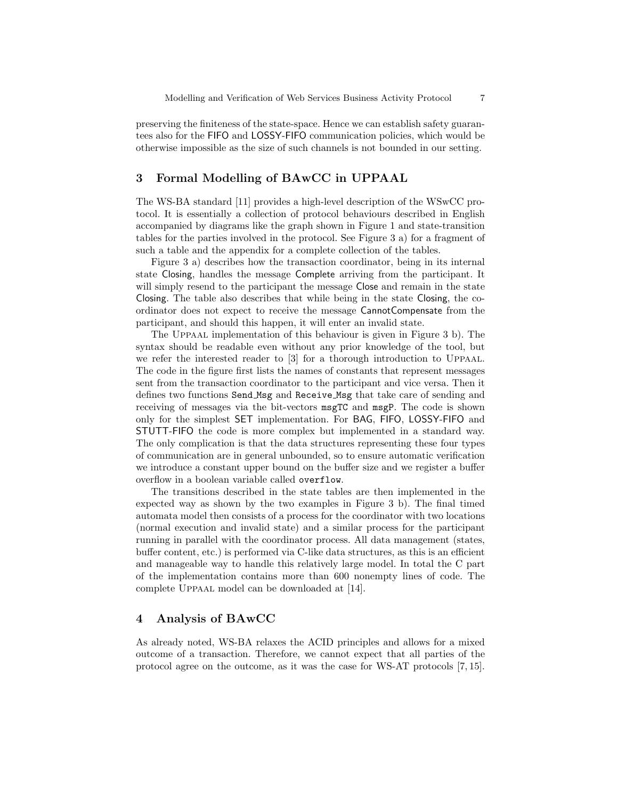preserving the finiteness of the state-space. Hence we can establish safety guarantees also for the FIFO and LOSSY-FIFO communication policies, which would be otherwise impossible as the size of such channels is not bounded in our setting.

# 3 Formal Modelling of BAwCC in UPPAAL

The WS-BA standard [11] provides a high-level description of the WSwCC protocol. It is essentially a collection of protocol behaviours described in English accompanied by diagrams like the graph shown in Figure 1 and state-transition tables for the parties involved in the protocol. See Figure 3 a) for a fragment of such a table and the appendix for a complete collection of the tables.

Figure 3 a) describes how the transaction coordinator, being in its internal state Closing, handles the message Complete arriving from the participant. It will simply resend to the participant the message Close and remain in the state Closing. The table also describes that while being in the state Closing, the coordinator does not expect to receive the message CannotCompensate from the participant, and should this happen, it will enter an invalid state.

The Uppaal implementation of this behaviour is given in Figure 3 b). The syntax should be readable even without any prior knowledge of the tool, but we refer the interested reader to [3] for a thorough introduction to Uppaal. The code in the figure first lists the names of constants that represent messages sent from the transaction coordinator to the participant and vice versa. Then it defines two functions Send Msg and Receive Msg that take care of sending and receiving of messages via the bit-vectors msgTC and msgP. The code is shown only for the simplest SET implementation. For BAG, FIFO, LOSSY-FIFO and STUTT-FIFO the code is more complex but implemented in a standard way. The only complication is that the data structures representing these four types of communication are in general unbounded, so to ensure automatic verification we introduce a constant upper bound on the buffer size and we register a buffer overflow in a boolean variable called overflow.

The transitions described in the state tables are then implemented in the expected way as shown by the two examples in Figure 3 b). The final timed automata model then consists of a process for the coordinator with two locations (normal execution and invalid state) and a similar process for the participant running in parallel with the coordinator process. All data management (states, buffer content, etc.) is performed via C-like data structures, as this is an efficient and manageable way to handle this relatively large model. In total the C part of the implementation contains more than 600 nonempty lines of code. The complete Uppaal model can be downloaded at [14].

# 4 Analysis of BAwCC

As already noted, WS-BA relaxes the ACID principles and allows for a mixed outcome of a transaction. Therefore, we cannot expect that all parties of the protocol agree on the outcome, as it was the case for WS-AT protocols [7, 15].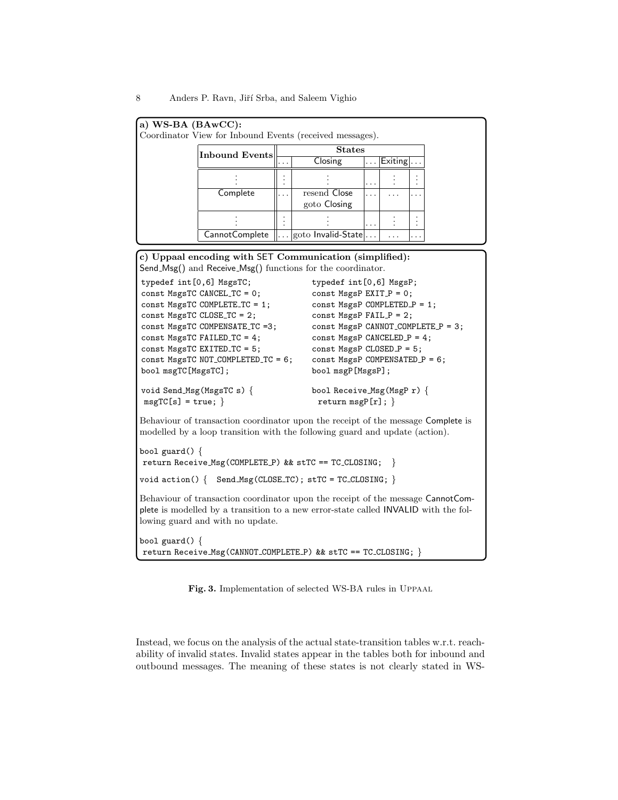| a) WS-BA (BAwCC):                                                         |                                                                                                                                                                                                                                  |   |                                                                                                                                                                                                                                 |          |                               |   |  |
|---------------------------------------------------------------------------|----------------------------------------------------------------------------------------------------------------------------------------------------------------------------------------------------------------------------------|---|---------------------------------------------------------------------------------------------------------------------------------------------------------------------------------------------------------------------------------|----------|-------------------------------|---|--|
|                                                                           | Coordinator View for Inbound Events (received messages).                                                                                                                                                                         |   |                                                                                                                                                                                                                                 |          |                               |   |  |
|                                                                           | Inbound Events                                                                                                                                                                                                                   |   | <b>States</b><br>Closing                                                                                                                                                                                                        | $\ddots$ | $\vert$ Exiting $\vert \dots$ |   |  |
|                                                                           |                                                                                                                                                                                                                                  |   |                                                                                                                                                                                                                                 | .        |                               |   |  |
|                                                                           | Complete                                                                                                                                                                                                                         | . | resend Close<br>goto Closing                                                                                                                                                                                                    | .        |                               | . |  |
|                                                                           |                                                                                                                                                                                                                                  |   |                                                                                                                                                                                                                                 | .        |                               |   |  |
|                                                                           | Cannot Complete                                                                                                                                                                                                                  |   | $\left  \dots \right $ goto Invalid-State $\left  \dots \right $                                                                                                                                                                |          | .                             | . |  |
| typedef int[0,6] MsgsTC;                                                  | c) Uppaal encoding with SET Communication (simplified):<br>Send_Msg() and Receive_Msg() functions for the coordinator.                                                                                                           |   | typedef int [0,6] MsgsP;                                                                                                                                                                                                        |          |                               |   |  |
|                                                                           | const MsgsTC CANCEL_TC = 0;<br>const MsgsTC COMPLETE_TC = 1;<br>const MsgsTC CLOSE_TC = 2;<br>const MsgsTC COMPENSATE_TC =3;<br>const MsgsTC FAILED_TC = 4;<br>const MsgsTC EXITED_TC = 5;<br>const MsgsTC NOT_COMPLETED_TC = 6; |   | const MsgsP EXIT_P = $0$ ;<br>const MsgsP COMPLETED_P = 1;<br>const MsgsP $FAIL_P = 2$ ;<br>const MsgsP CANNOT_COMPLETE_P = 3;<br>const MsgsP CANCELED_P = 4;<br>const MsgsP $CLOSED_P = 5$ ;<br>const MsgsP COMPENSATED_P = 6; |          |                               |   |  |
| bool msgTC[MsgsTC];<br>void Send_Msg(MsgsTC s) $\{$<br>$msgTC[s] = true;$ |                                                                                                                                                                                                                                  |   | bool msgP[MsgsP];<br>bool Receive_Msg(MsgP $r$ ) {<br>return msgP[r];                                                                                                                                                           |          |                               |   |  |
|                                                                           | Behaviour of transaction coordinator upon the receipt of the message Complete is<br>modelled by a loop transition with the following guard and update (action).                                                                  |   |                                                                                                                                                                                                                                 |          |                               |   |  |
| bool guard() $\{$                                                         | return Receive_Msg(COMPLETE_P) && stTC == TC_CLOSING;                                                                                                                                                                            |   |                                                                                                                                                                                                                                 |          | ╊                             |   |  |
| void $\text{action}()$ $\{$                                               |                                                                                                                                                                                                                                  |   | $Send_Msg(ClOSE_TC);$ stTC = TC_CLOSING; $\}$                                                                                                                                                                                   |          |                               |   |  |
|                                                                           | Behaviour of transaction coordinator upon the receipt of the message CannotCom-<br>plete is modelled by a transition to a new error-state called INVALID with the fol-<br>lowing guard and with no update.                       |   |                                                                                                                                                                                                                                 |          |                               |   |  |
| bool guard() $\{$                                                         | return Receive_Msg(CANNOT_COMPLETE_P) && stTC == TC_CLOSING; }                                                                                                                                                                   |   |                                                                                                                                                                                                                                 |          |                               |   |  |

Fig. 3. Implementation of selected WS-BA rules in Uppaal

Instead, we focus on the analysis of the actual state-transition tables w.r.t. reachability of invalid states. Invalid states appear in the tables both for inbound and outbound messages. The meaning of these states is not clearly stated in WS-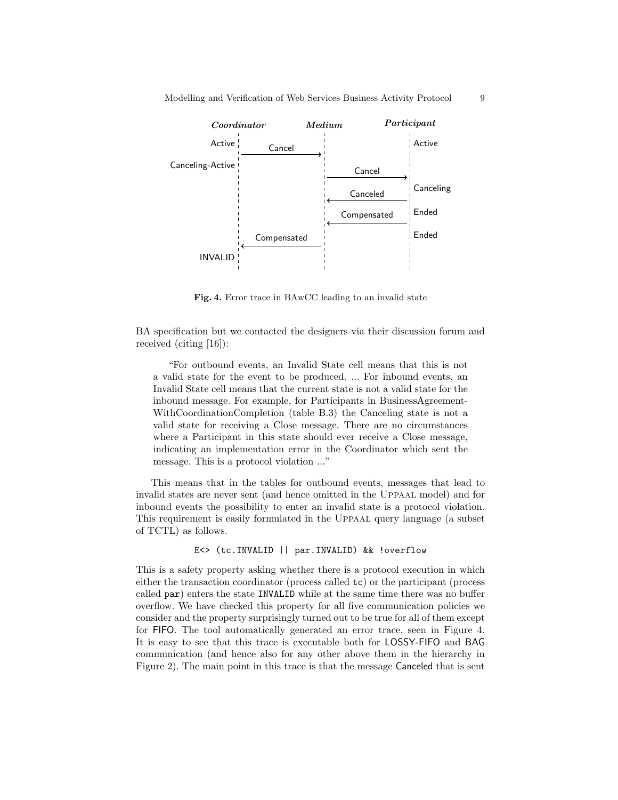

Fig. 4. Error trace in BAwCC leading to an invalid state

INVALID

Compensated in the compensated in the compensated in the compensation of  $\vert$  Ended

BA specification but we contacted the designers via their discussion forum and received (citing [16]):

"For outbound events, an Invalid State cell means that this is not a valid state for the event to be produced. ... For inbound events, an Invalid State cell means that the current state is not a valid state for the inbound message. For example, for Participants in BusinessAgreement-WithCoordinationCompletion (table B.3) the Canceling state is not a valid state for receiving a Close message. There are no circumstances where a Participant in this state should ever receive a Close message, indicating an implementation error in the Coordinator which sent the message. This is a protocol violation ..."

This means that in the tables for outbound events, messages that lead to invalid states are never sent (and hence omitted in the Uppaal model) and for inbound events the possibility to enter an invalid state is a protocol violation. This requirement is easily formulated in the UPPAAL query language (a subset of TCTL) as follows.

E<> (tc.INVALID || par.INVALID) && !overflow

This is a safety property asking whether there is a protocol execution in which either the transaction coordinator (process called tc) or the participant (process called par) enters the state INVALID while at the same time there was no buffer overflow. We have checked this property for all five communication policies we consider and the property surprisingly turned out to be true for all of them except for FIFO. The tool automatically generated an error trace, seen in Figure 4. It is easy to see that this trace is executable both for LOSSY-FIFO and BAG communication (and hence also for any other above them in the hierarchy in Figure 2). The main point in this trace is that the message Canceled that is sent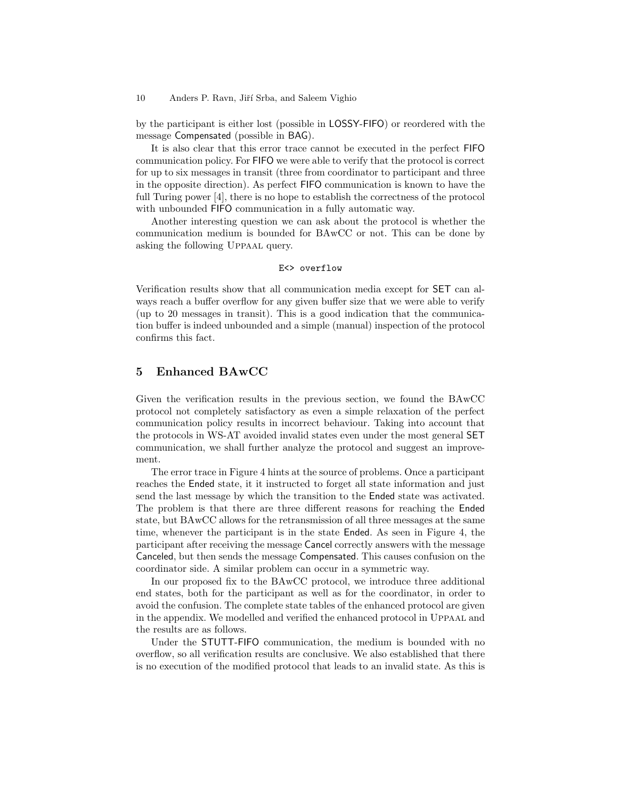by the participant is either lost (possible in LOSSY-FIFO) or reordered with the message Compensated (possible in BAG).

It is also clear that this error trace cannot be executed in the perfect FIFO communication policy. For FIFO we were able to verify that the protocol is correct for up to six messages in transit (three from coordinator to participant and three in the opposite direction). As perfect FIFO communication is known to have the full Turing power [4], there is no hope to establish the correctness of the protocol with unbounded FIFO communication in a fully automatic way.

Another interesting question we can ask about the protocol is whether the communication medium is bounded for BAwCC or not. This can be done by asking the following Uppaal query.

#### E<> overflow

Verification results show that all communication media except for SET can always reach a buffer overflow for any given buffer size that we were able to verify (up to 20 messages in transit). This is a good indication that the communication buffer is indeed unbounded and a simple (manual) inspection of the protocol confirms this fact.

# 5 Enhanced BAwCC

Given the verification results in the previous section, we found the BAwCC protocol not completely satisfactory as even a simple relaxation of the perfect communication policy results in incorrect behaviour. Taking into account that the protocols in WS-AT avoided invalid states even under the most general SET communication, we shall further analyze the protocol and suggest an improvement.

The error trace in Figure 4 hints at the source of problems. Once a participant reaches the Ended state, it it instructed to forget all state information and just send the last message by which the transition to the Ended state was activated. The problem is that there are three different reasons for reaching the Ended state, but BAwCC allows for the retransmission of all three messages at the same time, whenever the participant is in the state Ended. As seen in Figure 4, the participant after receiving the message Cancel correctly answers with the message Canceled, but then sends the message Compensated. This causes confusion on the coordinator side. A similar problem can occur in a symmetric way.

In our proposed fix to the BAwCC protocol, we introduce three additional end states, both for the participant as well as for the coordinator, in order to avoid the confusion. The complete state tables of the enhanced protocol are given in the appendix. We modelled and verified the enhanced protocol in Uppaal and the results are as follows.

Under the STUTT-FIFO communication, the medium is bounded with no overflow, so all verification results are conclusive. We also established that there is no execution of the modified protocol that leads to an invalid state. As this is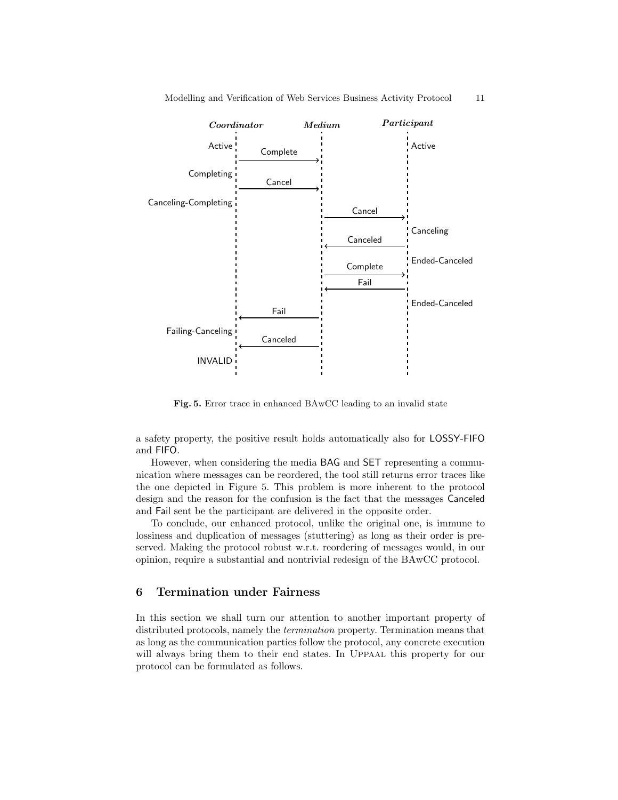

Fig. 5. Error trace in enhanced BAwCC leading to an invalid state

a safety property, the positive result holds automatically also for LOSSY-FIFO and FIFO.

However, when considering the media BAG and SET representing a communication where messages can be reordered, the tool still returns error traces like the one depicted in Figure 5. This problem is more inherent to the protocol design and the reason for the confusion is the fact that the messages Canceled and Fail sent be the participant are delivered in the opposite order.

To conclude, our enhanced protocol, unlike the original one, is immune to lossiness and duplication of messages (stuttering) as long as their order is preserved. Making the protocol robust w.r.t. reordering of messages would, in our opinion, require a substantial and nontrivial redesign of the BAwCC protocol.

## 6 Termination under Fairness

In this section we shall turn our attention to another important property of distributed protocols, namely the termination property. Termination means that as long as the communication parties follow the protocol, any concrete execution will always bring them to their end states. In UPPAAL this property for our protocol can be formulated as follows.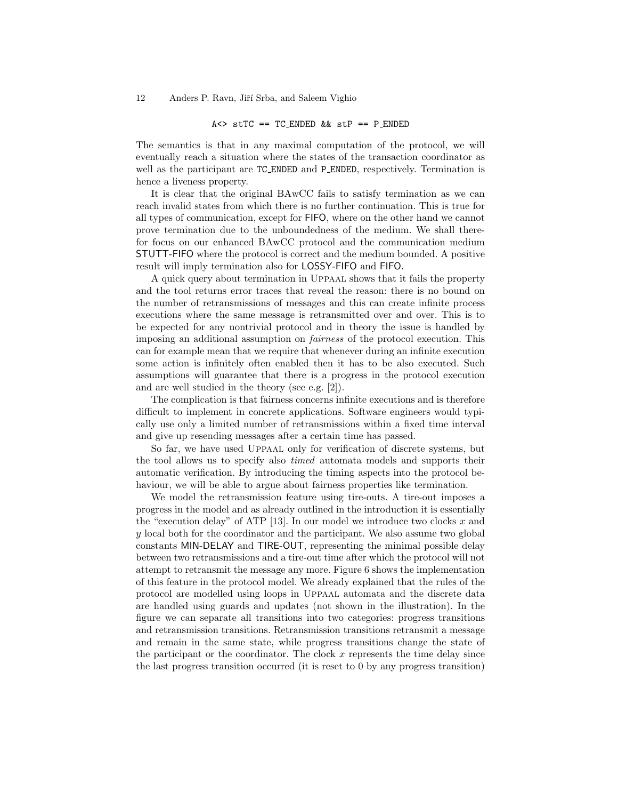### $A$  <> stTC == TC\_ENDED && stP == P\_ENDED

The semantics is that in any maximal computation of the protocol, we will eventually reach a situation where the states of the transaction coordinator as well as the participant are TC\_ENDED and P\_ENDED, respectively. Termination is hence a liveness property.

It is clear that the original BAwCC fails to satisfy termination as we can reach invalid states from which there is no further continuation. This is true for all types of communication, except for FIFO, where on the other hand we cannot prove termination due to the unboundedness of the medium. We shall therefor focus on our enhanced BAwCC protocol and the communication medium STUTT-FIFO where the protocol is correct and the medium bounded. A positive result will imply termination also for LOSSY-FIFO and FIFO.

A quick query about termination in Uppaal shows that it fails the property and the tool returns error traces that reveal the reason: there is no bound on the number of retransmissions of messages and this can create infinite process executions where the same message is retransmitted over and over. This is to be expected for any nontrivial protocol and in theory the issue is handled by imposing an additional assumption on fairness of the protocol execution. This can for example mean that we require that whenever during an infinite execution some action is infinitely often enabled then it has to be also executed. Such assumptions will guarantee that there is a progress in the protocol execution and are well studied in the theory (see e.g. [2]).

The complication is that fairness concerns infinite executions and is therefore difficult to implement in concrete applications. Software engineers would typically use only a limited number of retransmissions within a fixed time interval and give up resending messages after a certain time has passed.

So far, we have used Uppaal only for verification of discrete systems, but the tool allows us to specify also timed automata models and supports their automatic verification. By introducing the timing aspects into the protocol behaviour, we will be able to argue about fairness properties like termination.

We model the retransmission feature using tire-outs. A tire-out imposes a progress in the model and as already outlined in the introduction it is essentially the "execution delay" of ATP [13]. In our model we introduce two clocks  $x$  and y local both for the coordinator and the participant. We also assume two global constants MIN-DELAY and TIRE-OUT, representing the minimal possible delay between two retransmissions and a tire-out time after which the protocol will not attempt to retransmit the message any more. Figure 6 shows the implementation of this feature in the protocol model. We already explained that the rules of the protocol are modelled using loops in Uppaal automata and the discrete data are handled using guards and updates (not shown in the illustration). In the figure we can separate all transitions into two categories: progress transitions and retransmission transitions. Retransmission transitions retransmit a message and remain in the same state, while progress transitions change the state of the participant or the coordinator. The clock  $x$  represents the time delay since the last progress transition occurred (it is reset to 0 by any progress transition)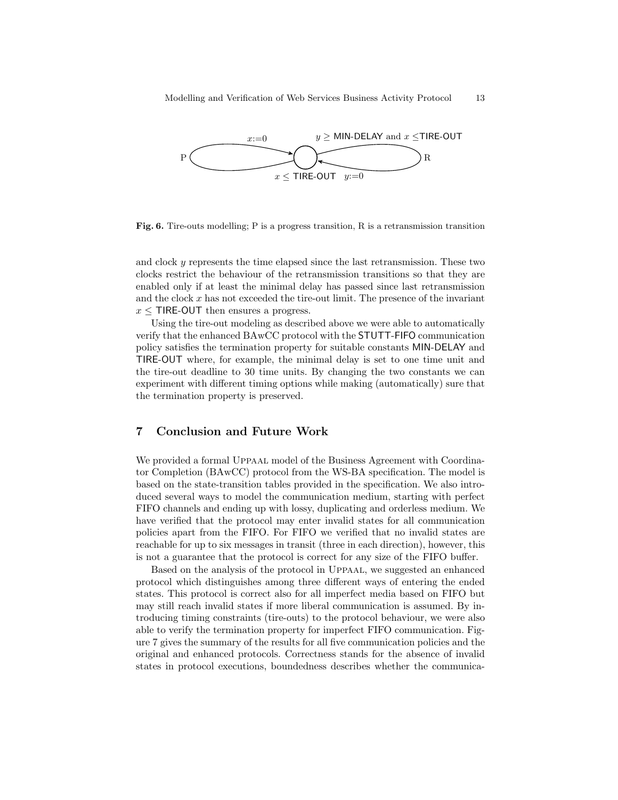

Fig. 6. Tire-outs modelling; P is a progress transition, R is a retransmission transition

and clock y represents the time elapsed since the last retransmission. These two clocks restrict the behaviour of the retransmission transitions so that they are enabled only if at least the minimal delay has passed since last retransmission and the clock  $x$  has not exceeded the tire-out limit. The presence of the invariant  $x \leq$  TIRE-OUT then ensures a progress.

Using the tire-out modeling as described above we were able to automatically verify that the enhanced BAwCC protocol with the STUTT-FIFO communication policy satisfies the termination property for suitable constants MIN-DELAY and TIRE-OUT where, for example, the minimal delay is set to one time unit and the tire-out deadline to 30 time units. By changing the two constants we can experiment with different timing options while making (automatically) sure that the termination property is preserved.

# 7 Conclusion and Future Work

We provided a formal UPPAAL model of the Business Agreement with Coordinator Completion (BAwCC) protocol from the WS-BA specification. The model is based on the state-transition tables provided in the specification. We also introduced several ways to model the communication medium, starting with perfect FIFO channels and ending up with lossy, duplicating and orderless medium. We have verified that the protocol may enter invalid states for all communication policies apart from the FIFO. For FIFO we verified that no invalid states are reachable for up to six messages in transit (three in each direction), however, this is not a guarantee that the protocol is correct for any size of the FIFO buffer.

Based on the analysis of the protocol in Uppaal, we suggested an enhanced protocol which distinguishes among three different ways of entering the ended states. This protocol is correct also for all imperfect media based on FIFO but may still reach invalid states if more liberal communication is assumed. By introducing timing constraints (tire-outs) to the protocol behaviour, we were also able to verify the termination property for imperfect FIFO communication. Figure 7 gives the summary of the results for all five communication policies and the original and enhanced protocols. Correctness stands for the absence of invalid states in protocol executions, boundedness describes whether the communica-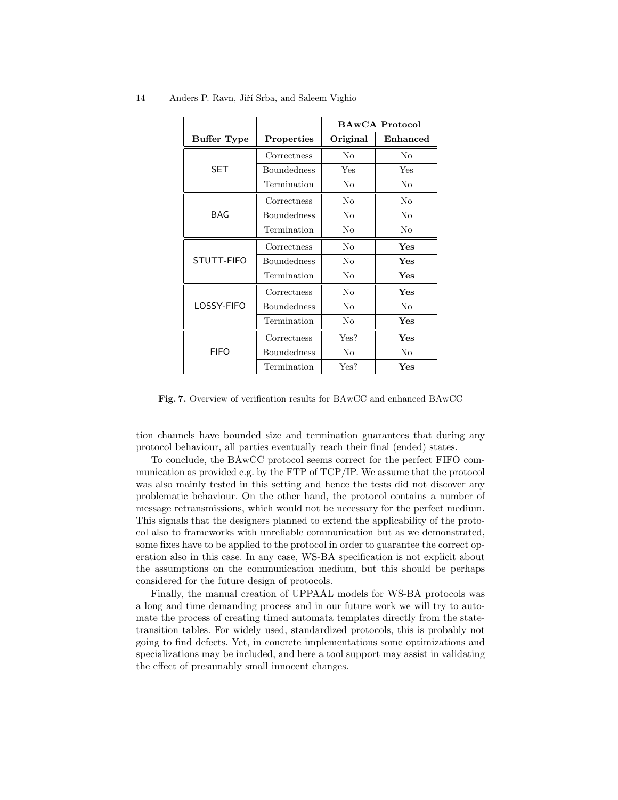|                    |                    |                  | <b>BAwCA</b> Protocol |
|--------------------|--------------------|------------------|-----------------------|
| <b>Buffer Type</b> | Properties         | Original         | Enhanced              |
|                    | Correctness        | No               | No                    |
| <b>SET</b>         | Boundedness        | Yes              | Yes                   |
|                    | Termination        | Nο               | No                    |
|                    | Correctness        | No               | N <sub>0</sub>        |
| <b>BAG</b>         | <b>Boundedness</b> | No               | N <sub>0</sub>        |
|                    | Termination        | No               | No                    |
|                    | Correctness        | No               | Yes                   |
| STUTT-FIFO         | <b>Boundedness</b> | No               | Yes                   |
|                    | Termination        | No               | Yes                   |
|                    | Correctness        | $\rm N_{\Omega}$ | Yes                   |
| LOSSY-FIFO         | Boundedness        | $\rm N_{\Omega}$ | No                    |
|                    | Termination        | No               | Yes                   |
|                    | Correctness        | Yes?             | Yes                   |
| <b>FIFO</b>        | Boundedness        | No               | No                    |
|                    | Termination        | Yes?             | Yes                   |

14 Anders P. Ravn, Jiří Srba, and Saleem Vighio

Fig. 7. Overview of verification results for BAwCC and enhanced BAwCC

tion channels have bounded size and termination guarantees that during any protocol behaviour, all parties eventually reach their final (ended) states.

To conclude, the BAwCC protocol seems correct for the perfect FIFO communication as provided e.g. by the FTP of TCP/IP. We assume that the protocol was also mainly tested in this setting and hence the tests did not discover any problematic behaviour. On the other hand, the protocol contains a number of message retransmissions, which would not be necessary for the perfect medium. This signals that the designers planned to extend the applicability of the protocol also to frameworks with unreliable communication but as we demonstrated, some fixes have to be applied to the protocol in order to guarantee the correct operation also in this case. In any case, WS-BA specification is not explicit about the assumptions on the communication medium, but this should be perhaps considered for the future design of protocols.

Finally, the manual creation of UPPAAL models for WS-BA protocols was a long and time demanding process and in our future work we will try to automate the process of creating timed automata templates directly from the statetransition tables. For widely used, standardized protocols, this is probably not going to find defects. Yet, in concrete implementations some optimizations and specializations may be included, and here a tool support may assist in validating the effect of presumably small innocent changes.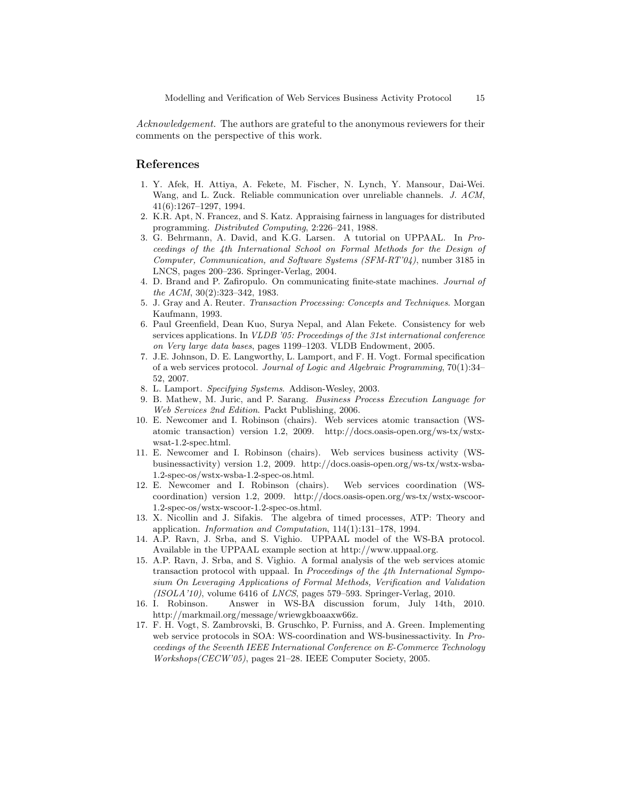Acknowledgement. The authors are grateful to the anonymous reviewers for their comments on the perspective of this work.

### References

- 1. Y. Afek, H. Attiya, A. Fekete, M. Fischer, N. Lynch, Y. Mansour, Dai-Wei. Wang, and L. Zuck. Reliable communication over unreliable channels. J. ACM, 41(6):1267–1297, 1994.
- 2. K.R. Apt, N. Francez, and S. Katz. Appraising fairness in languages for distributed programming. Distributed Computing, 2:226–241, 1988.
- 3. G. Behrmann, A. David, and K.G. Larsen. A tutorial on UPPAAL. In Proceedings of the 4th International School on Formal Methods for the Design of Computer, Communication, and Software Systems (SFM-RT'04), number 3185 in LNCS, pages 200–236. Springer-Verlag, 2004.
- 4. D. Brand and P. Zafiropulo. On communicating finite-state machines. Journal of the ACM, 30(2):323–342, 1983.
- 5. J. Gray and A. Reuter. Transaction Processing: Concepts and Techniques. Morgan Kaufmann, 1993.
- 6. Paul Greenfield, Dean Kuo, Surya Nepal, and Alan Fekete. Consistency for web services applications. In VLDB '05: Proceedings of the 31st international conference on Very large data bases, pages 1199–1203. VLDB Endowment, 2005.
- 7. J.E. Johnson, D. E. Langworthy, L. Lamport, and F. H. Vogt. Formal specification of a web services protocol. Journal of Logic and Algebraic Programming, 70(1):34– 52, 2007.
- 8. L. Lamport. Specifying Systems. Addison-Wesley, 2003.
- 9. B. Mathew, M. Juric, and P. Sarang. Business Process Execution Language for Web Services 2nd Edition. Packt Publishing, 2006.
- 10. E. Newcomer and I. Robinson (chairs). Web services atomic transaction (WSatomic transaction) version 1.2, 2009. http://docs.oasis-open.org/ws-tx/wstxwsat-1.2-spec.html.
- 11. E. Newcomer and I. Robinson (chairs). Web services business activity (WSbusinessactivity) version 1.2, 2009. http://docs.oasis-open.org/ws-tx/wstx-wsba-1.2-spec-os/wstx-wsba-1.2-spec-os.html.
- 12. E. Newcomer and I. Robinson (chairs). Web services coordination (WScoordination) version 1.2, 2009. http://docs.oasis-open.org/ws-tx/wstx-wscoor-1.2-spec-os/wstx-wscoor-1.2-spec-os.html.
- 13. X. Nicollin and J. Sifakis. The algebra of timed processes, ATP: Theory and application. Information and Computation, 114(1):131–178, 1994.
- 14. A.P. Ravn, J. Srba, and S. Vighio. UPPAAL model of the WS-BA protocol. Available in the UPPAAL example section at http://www.uppaal.org.
- 15. A.P. Ravn, J. Srba, and S. Vighio. A formal analysis of the web services atomic transaction protocol with uppaal. In Proceedings of the 4th International Symposium On Leveraging Applications of Formal Methods, Verification and Validation  $(ISOLA'10)$ , volume 6416 of *LNCS*, pages 579–593. Springer-Verlag, 2010.
- 16. I. Robinson. Answer in WS-BA discussion forum, July 14th, 2010. http://markmail.org/message/wriewgkboaaxw66z.
- 17. F. H. Vogt, S. Zambrovski, B. Gruschko, P. Furniss, and A. Green. Implementing web service protocols in SOA: WS-coordination and WS-businessactivity. In Proceedings of the Seventh IEEE International Conference on E-Commerce Technology Workshops(CECW'05), pages 21–28. IEEE Computer Society, 2005.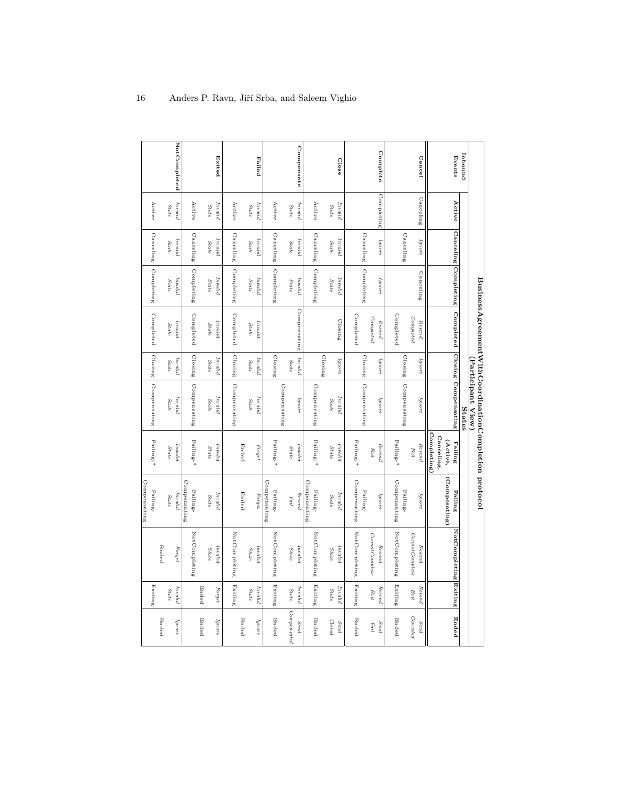|              | Exiting                        |                       | Compensating<br>Failing-  | Failing-*                  | Compensating                                         | Closing                         | Completed                  | Completing           | Canceling    | Active       |              |
|--------------|--------------------------------|-----------------------|---------------------------|----------------------------|------------------------------------------------------|---------------------------------|----------------------------|----------------------|--------------|--------------|--------------|
| Ended        |                                | Ended                 |                           |                            |                                                      |                                 |                            |                      |              |              |              |
|              | <b>State</b>                   |                       | <b>State</b>              | <b>State</b>               | <b>State</b>                                         | <b>State</b>                    | <b>State</b>               | <b>State</b>         | State        | <b>State</b> |              |
| Ignore       | Invalid                        | $\mathit{Fonget}$     | Invalid                   | Invalid                    | Invalid                                              | Invalid                         | Invalid                    | Invalid              | Invalid      | Invalid      | NotCompleted |
|              |                                |                       | Compensating              |                            |                                                      |                                 |                            |                      |              |              |              |
|              |                                | NotCompleting         | Failing-                  | Failing-*                  | Compensating                                         | $\mathop{\rm Closing}\nolimits$ | Completed                  | Completing           | Canceling    | Active       |              |
| Ended        | Ended                          | $State$               | <b>State</b>              | <b>State</b>               | <b>State</b>                                         | <b>State</b>                    | <b>State</b>               | State                | <b>State</b> | <b>State</b> |              |
| Ignore       | $\ensuremath{\mathit{F}orget}$ | Invalid               | Invalid                   | Invalid                    | Invalid                                              | Invalid                         | Invalid                    | Invalid              | Invalid      | Invalid      | Exited       |
|              | Exiting                        | NotCompleting         |                           |                            | Compensating                                         | Closing                         | Completed                  | Completing           | Canceling    | Active       |              |
| Ended        |                                |                       | Ended                     | Ended                      |                                                      |                                 |                            |                      |              |              |              |
|              | <b>State</b>                   | $State$               |                           |                            | <b>State</b>                                         | <b>State</b>                    | State                      | <b>State</b>         | <b>State</b> | <b>State</b> |              |
| Ignore       | Invalid                        | Invalid               | $\label{eq:cond} For get$ | $\mathop{\mathit{Forget}}$ | Invalid                                              | Invalid                         | Invalid                    | Invalid              | Invalid      | Invalid      | Failed       |
|              |                                |                       | Compensating              |                            |                                                      |                                 |                            |                      |              |              |              |
| <b>Ended</b> | Exiting                        | NotCompleting         | Failing-                  | Failing-*                  |                                                      | Closing                         |                            | Completing           | Canceling    | Active       |              |
|              |                                |                       |                           |                            | Compensating                                         |                                 |                            |                      |              |              |              |
| Compensated  | $State$                        | <b>State</b>          | $_{Fail}$                 | <b>State</b>               |                                                      | <b>State</b>                    |                            | <b>State</b>         | <b>State</b> | <b>State</b> |              |
| Send         | Invalid                        | Invalid               | Resend                    | Invalid                    | Ignore                                               | Invalid                         | Compensating               | Invalid              | Invalid      | Invalid      | Compensate   |
|              |                                |                       | Compensating              |                            |                                                      |                                 |                            |                      |              |              |              |
| Ended        | Exiting                        | NotCompleting         | Failing-                  | Failing-*                  | Compensating                                         |                                 |                            | Completing           | Canceling    | Active       |              |
|              |                                |                       |                           |                            |                                                      | Closing                         |                            |                      |              |              |              |
| Closed       | <b>State</b>                   | <b>State</b>          | <b>State</b>              | <b>State</b>               | <b>State</b>                                         |                                 |                            | <b>State</b>         | <b>State</b> | $Statee$     |              |
| Send         | Invalid                        | Invalia               | Invalid                   | Invalid                    | Invalid                                              | Ignore                          | Closing                    | Invalid              | Invalid      | Invalid      | Close        |
| Ended        | Exiting                        | NotCompleting         | Compensating              | Failing-*                  |                                                      |                                 | Completed                  |                      |              |              |              |
|              |                                |                       | Failing-                  |                            | Compensating                                         | $\frac{1}{2}$ Closing           |                            | Completing           | Canceling    |              |              |
| $\it{Fast}$  | $_{Ext}$                       | CannotComplete        |                           | Fail                       |                                                      |                                 | Completed                  |                      |              |              |              |
| Send         | $\it{Research}$                | Resend                | Ignore                    | Resend                     | Ignore                                               | Ignore                          | $\label{eq:resend} Resend$ | Ignore               | $Igmore$     | Completing   | Complete     |
| <b>Ended</b> | Exiting                        | NotCompleting         | Compensating              | Failing-*                  |                                                      |                                 | Completed                  |                      |              |              |              |
|              |                                |                       | Failing-                  |                            | Compensating                                         | Closing <sup>1</sup>            |                            |                      | Canceling    |              |              |
| Canceled     | $_{Ext}$                       | <i>CannotComplete</i> |                           | Fail                       |                                                      |                                 | Completed                  |                      |              |              |              |
| <b>Send</b>  | Resend                         | $\it{Research}$       | Ignore                    | Resend                     | Ignore                                               | Ignore                          | Resend                     | Canceling            | Ignore       | Canceling    | Cancel       |
|              |                                |                       |                           | Completing)                |                                                      |                                 |                            |                      |              |              |              |
|              |                                |                       |                           | Canceling,                 |                                                      |                                 |                            |                      |              |              |              |
|              |                                |                       | (Compesating)             | (Active,                   |                                                      |                                 |                            |                      |              |              |              |
| Ended        |                                | NotCompleting Exiting | Failing                   | Failing                    | Closing Compensating                                 |                                 | Completed                  | Canceling Completing |              | Active       | Events       |
|              |                                |                       |                           |                            | States                                               |                                 |                            |                      |              |              | Inbound      |
|              |                                |                       |                           |                            | (Participant View)                                   |                                 |                            |                      |              |              |              |
|              |                                |                       |                           |                            | BusinessAgreementWithCoordinationCompletion protocol |                                 |                            |                      |              |              |              |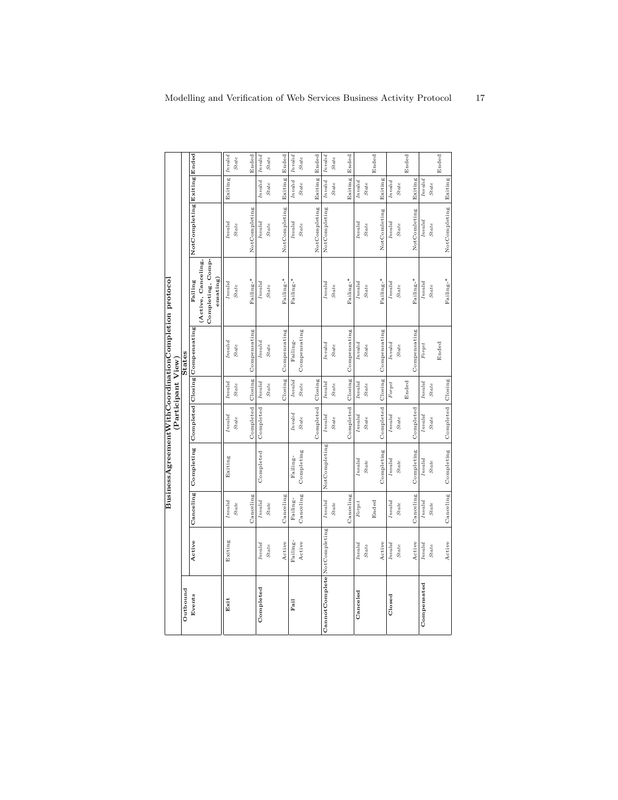|                                |               |                                                                                   |               |                   |                                              | BusinessAgreementWithCoordinationCompletion protocol |                                          |                             |                      |         |
|--------------------------------|---------------|-----------------------------------------------------------------------------------|---------------|-------------------|----------------------------------------------|------------------------------------------------------|------------------------------------------|-----------------------------|----------------------|---------|
|                                |               |                                                                                   |               |                   | Participant View)                            |                                                      |                                          |                             |                      |         |
| Outbound                       |               |                                                                                   |               |                   |                                              | <b>States</b>                                        |                                          |                             |                      |         |
| Events                         | Active        |                                                                                   |               |                   |                                              | Canceling Completing Completed Closing Compensating  | Failing                                  | NotCompleting Exiting Ended |                      |         |
|                                |               |                                                                                   |               |                   |                                              |                                                      | Completing, Comp-<br>(Active, Canceling, |                             |                      |         |
|                                |               |                                                                                   |               |                   |                                              |                                                      | ensating)                                |                             |                      |         |
| Exit                           | Exiting       | Invalid                                                                           | Exiting       | Invalid           | Invalid                                      | Invalid                                              | Invalid                                  | Invalid                     | Exiting   Invalid    |         |
|                                |               | State                                                                             |               | State             | State                                        | <b>State</b>                                         | State                                    | State                       |                      | State   |
|                                |               | Canceling                                                                         |               | Completed         | Closing                                      | Compensating                                         | Failing-*                                | NotCompleting               |                      | Ended   |
| Completed                      | <i>mvalid</i> | Invalid                                                                           | Completed     | Completed         | Invalid                                      | Invalid                                              | Invalid                                  | Invalid                     | Invalid              | Invalid |
|                                | State         | $State$                                                                           |               |                   | $State$                                      | State                                                | $State$                                  | $State$                     | State                | State   |
|                                | Active        | Canceling                                                                         |               |                   | Closing                                      | Compensating                                         | Failing-*                                | NotCompleting               | Exiting Ended        |         |
| Fail                           | Failing-      | Failing-                                                                          | Failing-      | Invalid           | Invalid                                      | Failing-                                             | Failing-'                                | Invalid                     | Invalid              | Invalid |
|                                | Active        | Canceling                                                                         | Completing    | $State$           | $State$                                      | Compensating                                         |                                          | $State$                     | $State$              | $State$ |
|                                |               |                                                                                   |               | Completed         | Closing                                      |                                                      |                                          | NotCompleting               | Exiting              | Ended   |
| Cannot Complete Not Completing |               | $In valid$                                                                        | NotCompleting | Invalid           | Invalid                                      | Invalid                                              | Invalid                                  | NotCompleting               | Invalid              | Invalid |
|                                |               | <b>State</b>                                                                      |               | <b>State</b>      | State                                        | <b>State</b>                                         | State                                    |                             | <b>State</b>         | $State$ |
|                                |               | Canceling                                                                         |               | Completed         | Closing                                      | Compensating                                         | $F$ ailing- $*$                          |                             | Exiting <sup>1</sup> | Ended   |
| Canceled                       | Invalid       | $\label{eq:roppet} \begin{array}{ll} \hspace{-2.0mm} \textbf{Fonget} \end{array}$ | Invalid       | Invalid           | Invalid                                      | Invalid                                              | Invalid                                  | <i>roalid</i>               | Invalid              |         |
|                                | $State$       |                                                                                   | State         | $State$           | $State$                                      | $State$                                              | $State$                                  | State                       | $State$              |         |
|                                |               | Ended                                                                             |               |                   |                                              |                                                      |                                          |                             |                      | Ended   |
|                                | Active        |                                                                                   | Completing    | Completed         | Closing                                      | Compensating                                         | $F$ ailing- $*$                          | NotComleting                | Exiting              |         |
| Closed                         | Invalid       | Invalid                                                                           | Invalid       | Invalid           | $\label{eq:roper} \operatorname{\it Forget}$ | Invalid                                              | Invalid                                  | Invalid                     | Invalid              |         |
|                                | State         | State                                                                             | <b>State</b>  | $State$           |                                              | $State$                                              | State                                    | State                       | $State$              |         |
|                                |               |                                                                                   |               |                   | Ended                                        |                                                      |                                          |                             |                      | Ended   |
|                                | Active        | Canceling                                                                         | Completing    | Completed         |                                              | Compensating                                         | $Failing-$                               | NotComleting                | Exiting              |         |
| Compensated                    | Invalid       | Invalid                                                                           | Invalid       | Invalid           | Invalid                                      | Forget                                               | Invalid                                  | Invalid                     | Invalid              |         |
|                                | $State$       | $State$                                                                           | State         | $State$           | $State$                                      |                                                      | State                                    | $State$                     | $State$              |         |
|                                |               |                                                                                   |               |                   |                                              | Ended                                                |                                          |                             |                      | Ended   |
|                                | Active        | Canceling                                                                         | Completing    | Completed Closing |                                              |                                                      | $F$ ailing- $*$                          | NotCompleting               | Exiting              |         |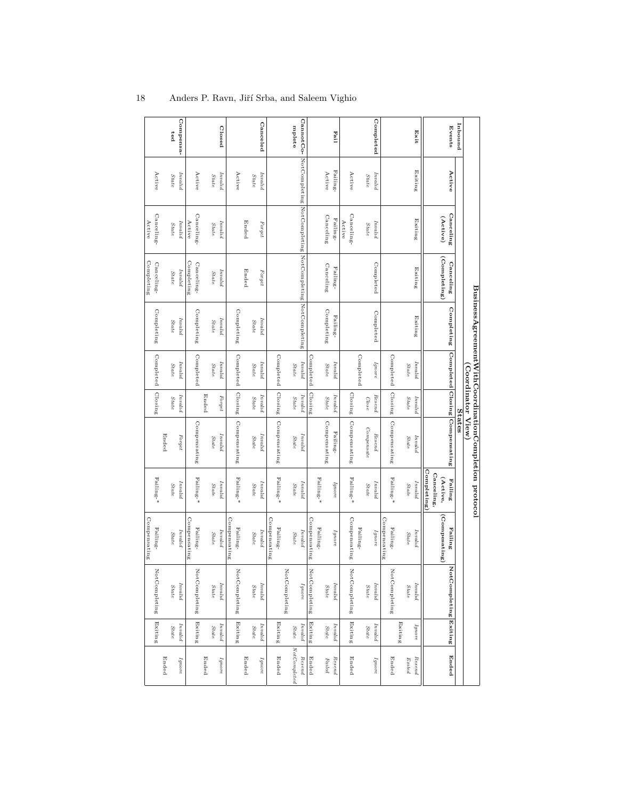|              |                |       | ted.         | Compensa-         |              |               |       |              | Closed                    |              |                   |       |              | <b>Canceled</b>           |              |                  |               | mplete          |                                                                               |               |           |                  | Fail           |        |               |           |                | Completed |              |               |         |                     | Exit           |             |            |               | Events                             | Inbound |                   |                                                      |
|--------------|----------------|-------|--------------|-------------------|--------------|---------------|-------|--------------|---------------------------|--------------|-------------------|-------|--------------|---------------------------|--------------|------------------|---------------|-----------------|-------------------------------------------------------------------------------|---------------|-----------|------------------|----------------|--------|---------------|-----------|----------------|-----------|--------------|---------------|---------|---------------------|----------------|-------------|------------|---------------|------------------------------------|---------|-------------------|------------------------------------------------------|
|              | Active         |       | <b>State</b> | Invalid           |              | Active        |       | $State$      | Invalid                   |              | Active            |       | <b>State</b> | Invalid                   |              |                  |               |                 |                                                                               |               |           | Active           | Failing-       |        | Active        |           | <b>State</b>   | Invalid   |              |               |         |                     | Exiting        |             |            |               | Active                             |         |                   |                                                      |
| Active       | Canceling-     |       | <b>State</b> | Invalid           | Active       | Canceling-    |       | <b>State</b> | Invalid                   |              |                   | Ended |              | Forget                    |              |                  |               |                 |                                                                               |               |           | Canceling        | Failing-       | Active | Canceling-    |           | <b>State</b>   | Invalid   |              |               |         |                     | Exiting        |             |            | (Active)      | Canceling                          |         |                   |                                                      |
| Completing   | Canceling-     |       | <b>State</b> | Invalid           | Completing   | Canceling-    |       | $State$      | Invalid                   |              |                   | Ended |              | $\label{eq:cond} For get$ |              |                  |               |                 | <b>Cannot Co– Not Completing Not Completing Not Completing Not Completing</b> |               |           | Canceling        | Failing-       |        |               |           |                | Completed |              |               |         |                     | Exiting        |             |            | (Completing)  | Canceling                          |         |                   |                                                      |
|              | Completing     |       | <b>State</b> | Invalid           |              | Completing    |       | $State$      | Invalid                   |              | Completing        |       | <b>State</b> | Invalid                   |              |                  |               |                 |                                                                               |               |           | Completing       | Failing-       |        |               |           |                | Completed |              |               |         |                     | Exiting        |             |            |               | Completing                         |         |                   |                                                      |
|              | Completed      |       | <b>State</b> | Invalid           |              | Completed     |       | State        | Invalid                   |              | Completed         |       | <b>State</b> | Invalid                   |              | Completed        |               | <b>State</b>    | Invalid                                                                       | Completed     |           | <b>State</b>     | Invalid        |        |               | Completed |                | $Igmore$  |              | Completed     |         | <b>State</b>        | Invalid        |             |            |               |                                    |         |                   |                                                      |
|              | Closing        |       | <b>State</b> | Invalid           |              |               | Ended |              | $\label{eq:cond} For get$ |              | $\text{Classing}$ |       | <b>State</b> | Invalid                   |              | $\text{Closing}$ |               | State           | Invalid                                                                       | Closing       |           | <b>State</b>     | Invalid        |        | Closing       |           | Close          | Resend    |              | Closing       |         | <b>State</b>        | Invalid        |             |            |               |                                    |         | Coordinator View) |                                                      |
|              |                | Ended |              | $\mathit{Fonget}$ |              | Compensating  |       | <b>State</b> | Invalid                   |              | Compensating      |       | $State$      | Invalid                   |              | Compensating     |               | <b>State</b>    | Invalid                                                                       |               |           | Compensating     | Failing-       |        | Compensating  |           | $Compens\,ate$ | Resend    |              | Compensating  |         | $State$             | Invalid        |             |            |               | Completed   Closing   Compensating | States  |                   | BusinessAgreementWithCoordinationCompletion protocol |
|              | Failing-*      |       | <b>State</b> | Invalid           |              | Failing-*     |       | $State$      | Invalid                   |              | Failing-*         |       | <b>State</b> | Invalid                   |              | Failing-*        |               | <b>State</b>    | Invalid                                                                       |               | Failing-* |                  | Ignore         |        | Failing-*     |           | $State$        | Invalid   |              | Failing-*     |         | $State$             | Invalid        | Completing) | Canceling, | (Active,      | Failing                            |         |                   |                                                      |
| Compensating | Failing-       |       | <b>State</b> | Invalid           | Compensating | Failing-      |       | $State$      | Invalid                   | Compensating | Failing-          |       | <b>State</b> | Invalid                   | Compensating | Failing-         |               | <b>State</b>    | Invalid                                                                       | Compensating  | Failing-  |                  | Ignore         |        | Compensating  | Failing-  |                | Ignore    | Compensating | Failing-      |         | $State$             | Invalid        |             |            | (Compesating) | Failing                            |         |                   |                                                      |
|              | NotCompleting  |       | $Statee$     | Invalid           |              | NotCompleting |       | $State$      | Invalid                   |              | NotCompleting     |       | $State$      | Invalid                   |              |                  | NotCompleting |                 | Ignore                                                                        | NotCompleting |           | $State$          | Invalid        |        | NotCompleting |           | $State$        | Invalid   |              | NotCompleting |         | $State$             | Invalid        |             |            |               | NotCompleting<br>Exiting           |         |                   |                                                      |
|              | <b>Exiting</b> |       | <b>State</b> | Invalid           |              | Exiting       |       | $State$      | Invalid                   |              | Exiting           |       | $State$      | Invalid                   |              | Exiting          |               | <b>State</b>    | Invalid                                                                       | Exiting       |           | <b>State</b>     | Invalid        |        | Exiting       |           | <b>State</b>   | Invalid   |              |               | Exiting |                     | Ignore         |             |            |               |                                    |         |                   |                                                      |
|              |                | Ended |              | Ignore            |              |               | Ended |              | Ignore                    |              |                   | Ended |              | Ignore                    |              | Ended            |               | $Note Complete$ | Resend                                                                        | Ended         |           | $\label{F} Find$ | $\it Research$ |        | <b>Ended</b>  |           |                | Ignore    |              | Ended         |         | $\label{m1} Euited$ | $\it Research$ |             |            |               | <b>Ended</b>                       |         |                   |                                                      |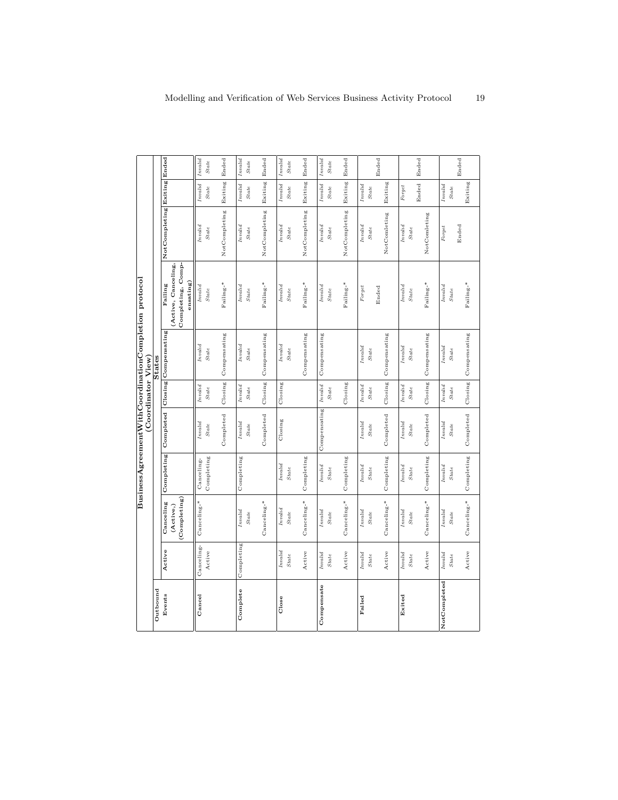|                                                      |               |                                                                  | Invalid<br>$State% \[ \includegraphics[width=1.8\columnwidth]{figures/2.pdf} \caption{Sstate $\Sigma_{t}^{X}$, $\Sigma_{t}$, $\Sigma_{t}^{X}$, $\Sigma_{t}^{X}$, $\Sigma_{t}^{X}$, $\Sigma_{t}^{X}$, $\Sigma_{t}^{X}$, $\Sigma_{t}^{X}$, $\Sigma_{t}^{X}$, $\Sigma_{t}^{X}$, $\Sigma_{t}^{X}$, $\Sigma_{t}^{X}$, $\Sigma_{t}^{X}$, $\Sigma_{t}^{X}$, $\Sigma_{t}^{X}$, $\Sigma_{t}^{X}$, $\Sigma_{t}^{X}$, $\Sigma_{t}^{X}$, $\Sigma_{t}^{X}$, $\Sigma_{t}^{X}$, $\Sigma_{t}^{X}$, $\Sigma_{t}^{X$ | Ended         | Invalid                                                                                                                                                                                                                                                                                                                                                                                                                                       | Ended         | Invalid<br>$State% \[ \includegraphics[width=1.8\columnwidth]{figures/2.pdf} \caption{Sstate $\Sigma_{t}^{X}$, $\Sigma_{t}$, $\Sigma_{t}^{X}$, $\Sigma_{t}^{X}$, $\Sigma_{t}^{X}$, $\Sigma_{t}^{X}$, $\Sigma_{t}^{X}$, $\Sigma_{t}^{X}$, $\Sigma_{t}^{X}$, $\Sigma_{t}^{X}$, $\Sigma_{t}^{X}$, $\Sigma_{t}^{X}$, $\Sigma_{t}^{X}$, $\Sigma_{t}^{X}$, $\Sigma_{t}^{X}$, $\Sigma_{t}^{X}$, $\Sigma_{t}^{X}$, $\Sigma_{t}^{X}$, $\Sigma_{t}^{X}$, $\Sigma_{t}^{X}$, $\Sigma_{t}^{X}$, $\Sigma_{t}^{X$ | Ended                          | Invalid<br>$State$                   | Ended         |                                                                                                                                                                                                                                                                                                                                                                                                                                                                         | Ended         |                                                                                                                                                                                                                                                                                                                                                                                                                                                                                                    | Ended                          |                                                                                                                                                                                                                                                                                                                                                                                                                                                                                                    | Ended         |
|------------------------------------------------------|---------------|------------------------------------------------------------------|----------------------------------------------------------------------------------------------------------------------------------------------------------------------------------------------------------------------------------------------------------------------------------------------------------------------------------------------------------------------------------------------------------------------------------------------------------------------------------------------------|---------------|-----------------------------------------------------------------------------------------------------------------------------------------------------------------------------------------------------------------------------------------------------------------------------------------------------------------------------------------------------------------------------------------------------------------------------------------------|---------------|----------------------------------------------------------------------------------------------------------------------------------------------------------------------------------------------------------------------------------------------------------------------------------------------------------------------------------------------------------------------------------------------------------------------------------------------------------------------------------------------------|--------------------------------|--------------------------------------|---------------|-------------------------------------------------------------------------------------------------------------------------------------------------------------------------------------------------------------------------------------------------------------------------------------------------------------------------------------------------------------------------------------------------------------------------------------------------------------------------|---------------|----------------------------------------------------------------------------------------------------------------------------------------------------------------------------------------------------------------------------------------------------------------------------------------------------------------------------------------------------------------------------------------------------------------------------------------------------------------------------------------------------|--------------------------------|----------------------------------------------------------------------------------------------------------------------------------------------------------------------------------------------------------------------------------------------------------------------------------------------------------------------------------------------------------------------------------------------------------------------------------------------------------------------------------------------------|---------------|
|                                                      |               |                                                                  | Invalid<br>$State$                                                                                                                                                                                                                                                                                                                                                                                                                                                                                 | Exiting       | $In valid$<br>$State$                                                                                                                                                                                                                                                                                                                                                                                                                         | Exiting       | $In valid$<br>$State$                                                                                                                                                                                                                                                                                                                                                                                                                                                                              | Exiting                        | Invalid<br>State                     | Exiting       | Invalid<br>$State$                                                                                                                                                                                                                                                                                                                                                                                                                                                      | Exiting       | $\label{eq:roppet} \begin{array}{ll} \hspace{-2.0cm} \textit{Forget} \end{array}$                                                                                                                                                                                                                                                                                                                                                                                                                  | Ended                          | Invalid<br>$State$                                                                                                                                                                                                                                                                                                                                                                                                                                                                                 | Exiting       |
|                                                      |               | NotCompleting Exiting Ended                                      | Invalid<br>$State$                                                                                                                                                                                                                                                                                                                                                                                                                                                                                 | NotCompleting | $\label{eq:inc} In valid$<br>$State$                                                                                                                                                                                                                                                                                                                                                                                                          | NotCompleting | Invalid<br>$State$                                                                                                                                                                                                                                                                                                                                                                                                                                                                                 | NotCompleting                  | $\label{eq:inv} In valid$<br>$State$ | NotCompleting | Invalid<br>$State% \[ \includegraphics[width=0.9\columnwidth]{figures/2000221_16022_21.pdf} \caption{Sstate $\Sigma_{t}^{X,Y}$ for $t\gtrsim 10^{-4}$ (left) and $t\gtrsim 10^{-4}$ (right) and $t\gtrsim 10^{-4}$ (right) for $t\gtrsim 10^{-4}$ (right).} \label{fig:2}$                                                                                                                                                                                              | NotComleting  | Invalid<br>$State% \[ \includegraphics[width=1.8\columnwidth]{figures/2.pdf} \caption{Sstate $\Sigma_{t}^{X}$, $\Sigma_{t}$, $\Sigma_{t}^{X}$, $\Sigma_{t}^{X}$, $\Sigma_{t}^{X}$, $\Sigma_{t}^{X}$, $\Sigma_{t}^{X}$, $\Sigma_{t}^{X}$, $\Sigma_{t}^{X}$, $\Sigma_{t}^{X}$, $\Sigma_{t}^{X}$, $\Sigma_{t}^{X}$, $\Sigma_{t}^{X}$, $\Sigma_{t}^{X}$, $\Sigma_{t}^{X}$, $\Sigma_{t}^{X}$, $\Sigma_{t}^{X}$, $\Sigma_{t}^{X}$, $\Sigma_{t}^{X}$, $\Sigma_{t}^{X}$, $\Sigma_{t}^{X}$, $\Sigma_{t}^{X$ | NotComleting                   | $\ensuremath{\mathit{Forget}}$                                                                                                                                                                                                                                                                                                                                                                                                                                                                     | Ended         |
| BusinessAgreementWithCoordinationCompletion protocol |               | Completing, Comp-<br>(Active, Canceling,<br>ensating)<br>Failing | Invalid<br>$State$                                                                                                                                                                                                                                                                                                                                                                                                                                                                                 | $Failing-$    | $\label{eq:inv} In valid$<br>$State$                                                                                                                                                                                                                                                                                                                                                                                                          | Failing-*     | $In valid$<br>$State$                                                                                                                                                                                                                                                                                                                                                                                                                                                                              | $Failing-$                     | $\label{eq:inv} In valid$<br>$State$ | Failing-*     | $\label{eq:rogr} \begin{aligned} For get \end{aligned}$                                                                                                                                                                                                                                                                                                                                                                                                                 | Ended         | Invalid<br>$State$                                                                                                                                                                                                                                                                                                                                                                                                                                                                                 | Failing-*                      | Invalid<br>$State$                                                                                                                                                                                                                                                                                                                                                                                                                                                                                 | $Failing-$    |
|                                                      | <b>States</b> | Completed Closing Compensating                                   | <i>Invalid</i><br>$State$                                                                                                                                                                                                                                                                                                                                                                                                                                                                          | Compensating  | $In valid$<br>State                                                                                                                                                                                                                                                                                                                                                                                                                           | Compensating  | Invalid<br>$State$                                                                                                                                                                                                                                                                                                                                                                                                                                                                                 | Compensating                   | Compensating                         |               | Invalid<br>$State% \[ \includegraphics[width=1.8\columnwidth]{figures/2.pdf} \caption{Sstate $\Sigma_{t}^{X,Y}$ for $t\geq0$ and $t\geq0$ for $t\geq0$ and $t\geq0$ for $t\geq0$ for $t\geq0$ for $t\geq0$ for $t\geq0$ for $t\geq0$ for $t\geq0$ for $t\geq0$ for $t\geq0$ for $t\geq0$ for $t\geq0$ for $t\geq0$ for $t\geq0$ for $t\geq0$ for $t\geq0$ for $t\geq0$ for $t\geq0$ for $t\geq0$ for $t\geq0$ for $t\geq0$$                                             | Compensating  | Invalid<br>$State$                                                                                                                                                                                                                                                                                                                                                                                                                                                                                 | Compensating                   | Invalid<br>$State% \[ \includegraphics[width=1.8\columnwidth]{figures/2.pdf} \caption{Sstate $\Sigma_{t}^{X,Y}$ for $t=0.1$ and $t=0.2$ and $t=0.2$ for $t=0.1$ and $t=0.2$ for $t=0.2$ and $t=0.2$ for $t=0.2$ and $t=0.2$ for $t=0.2$ and $t=0.2$ for $t=0.2$ for $t=0.2$ for $t=0.2$ for $t=0.2$ for $t=0.2$ for $t=0.2$ for $t=0.2$ for $t=0.2$ for $t=0.2$ for $t=0.2$ for $t=0.2$ for $t=0.2$$                                                                                               | Compensating  |
| (Coordinator View)                                   |               |                                                                  | $In valid$<br>$State$                                                                                                                                                                                                                                                                                                                                                                                                                                                                              | Closinglog    | $In valid$<br>State                                                                                                                                                                                                                                                                                                                                                                                                                           | Closing       | Closing                                                                                                                                                                                                                                                                                                                                                                                                                                                                                            |                                | $In valid$<br>State                  | Closing       | $In valid$<br>$State$                                                                                                                                                                                                                                                                                                                                                                                                                                                   | Closing       | Invalid<br>$State$                                                                                                                                                                                                                                                                                                                                                                                                                                                                                 | Closing                        | Invalid<br>$State$                                                                                                                                                                                                                                                                                                                                                                                                                                                                                 | Closing       |
|                                                      |               |                                                                  | Invalid<br>$State% \[ \includegraphics[width=1.8\columnwidth]{figures/2.pdf} \caption{Sstate $\Sigma_{t}^{X}$, $\Sigma_{t}$, $\Sigma_{t}^{X}$, $\Sigma_{t}^{X}$, $\Sigma_{t}^{X}$, $\Sigma_{t}^{X}$, $\Sigma_{t}^{X}$, $\Sigma_{t}^{X}$, $\Sigma_{t}^{X}$, $\Sigma_{t}^{X}$, $\Sigma_{t}^{X}$, $\Sigma_{t}^{X}$, $\Sigma_{t}^{X}$, $\Sigma_{t}^{X}$, $\Sigma_{t}^{X}$, $\Sigma_{t}^{X}$, $\Sigma_{t}^{X}$, $\Sigma_{t}^{X}$, $\Sigma_{t}^{X}$, $\Sigma_{t}^{X}$, $\Sigma_{t}^{X}$, $\Sigma_{t}^{X$ | Completed     | $\label{eq:inv} In valid$<br>$State% \[ \includegraphics[width=1.8\columnwidth]{figures/2.pdf} \caption{Sstate $\Sigma_{t}^{X,Y}$ for $t\geq0$ and $t\geq0$ for $t\geq0$ and $t\geq0$ for $t\geq0$ for $t\geq0$ for $t\geq0$ for $t\geq0$ for $t\geq0$ for $t\geq0$ for $t\geq0$ for $t\geq0$ for $t\geq0$ for $t\geq0$ for $t\geq0$ for $t\geq0$ for $t\geq0$ for $t\geq0$ for $t\geq0$ for $t\geq0$ for $t\geq0$ for $t\geq0$ for $t\geq0$$ | Completed     | Closing                                                                                                                                                                                                                                                                                                                                                                                                                                                                                            |                                | Compensating                         |               | $\label{eq:inv} In valid$<br>$State% \[ \includegraphics[width=1.8\columnwidth]{figures/2.pdf} \caption{Sstate $\Sigma_{t}^{X,Y}$ for $t\geq0$ and $t\geq0$ for $t\geq0$ and $t\geq0$ for $t\geq0$ for $t\geq0$ for $t\geq0$ for $t\geq0$ for $t\geq0$ for $t\geq0$ for $t\geq0$ for $t\geq0$ for $t\geq0$ for $t\geq0$ for $t\geq0$ for $t\geq0$ for $t\geq0$ for $t\geq0$ for $t\geq0$ for $t\geq0$ for $t\geq0$ for $t\geq0$ for $t\geq0$$                           | Completed     | Invalid<br>$State% \[ \includegraphics[width=1.8\columnwidth]{figures/2.pdf} \caption{Sstate $\Sigma_{t}^{X}$, $\Sigma_{t}$, $\Sigma_{t}^{X}$, $\Sigma_{t}^{X}$, $\Sigma_{t}^{X}$, $\Sigma_{t}^{X}$, $\Sigma_{t}^{X}$, $\Sigma_{t}^{X}$, $\Sigma_{t}^{X}$, $\Sigma_{t}^{X}$, $\Sigma_{t}^{X}$, $\Sigma_{t}^{X}$, $\Sigma_{t}^{X}$, $\Sigma_{t}^{X}$, $\Sigma_{t}^{X}$, $\Sigma_{t}^{X}$, $\Sigma_{t}^{X}$, $\Sigma_{t}^{X}$, $\Sigma_{t}^{X}$, $\Sigma_{t}^{X}$, $\Sigma_{t}^{X}$, $\Sigma_{t}^{X$ | Completed                      | Invalid<br>$State% \[ \includegraphics[width=1.8\columnwidth]{figures/2.pdf} \caption{Sstate $\Sigma_{t}^{X}$, $\Sigma_{t}$, $\Sigma_{t}^{X}$, $\Sigma_{t}^{X}$, $\Sigma_{t}^{X}$, $\Sigma_{t}^{X}$, $\Sigma_{t}^{X}$, $\Sigma_{t}^{X}$, $\Sigma_{t}^{X}$, $\Sigma_{t}^{X}$, $\Sigma_{t}^{X}$, $\Sigma_{t}^{X}$, $\Sigma_{t}^{X}$, $\Sigma_{t}^{X}$, $\Sigma_{t}^{X}$, $\Sigma_{t}^{X}$, $\Sigma_{t}^{X}$, $\Sigma_{t}^{X}$, $\Sigma_{t}^{X}$, $\Sigma_{t}^{X}$, $\Sigma_{t}^{X}$, $\Sigma_{t}^{X$ | Completed     |
|                                                      |               | Completing                                                       | Completing<br>Canceling-                                                                                                                                                                                                                                                                                                                                                                                                                                                                           |               | Completing                                                                                                                                                                                                                                                                                                                                                                                                                                    |               | $In valid$<br>$State$                                                                                                                                                                                                                                                                                                                                                                                                                                                                              | Completing                     | $In valid$<br>$State$                | Completing    | Invalid<br>$State% \[ \includegraphics[width=0.9\columnwidth]{figures/2000221_16.pdf} \caption{Sstate $\Sigma_{t}^{X}$, $\Delta_{t}^{X}$, $\Delta _{t}^{X}$, $\Delta _{t}^{X}$, $\Delta _{t}^{X}$, $\Delta _{t}^{X}$, $\Delta _{t}^{X}$, $\Delta _{t}^{X}$, $\Delta _{t}^{X}$, $\Delta _{t}^{X}$, $\Delta _{t}^{X}$, $\Delta _{t}^{X}$, $\Delta _{t}^{X}$, $\Delta _{t}^{X}$, $\Delta _{t}^{X}$, $\Delta _{t}^{X}$, $\Delta _{t}^{X}$, $\Delta _{t}^{X}$, $\Delta _{t}$ | Completing    | Invalid<br>$State% \[ \includegraphics[width=1.8\columnwidth]{figures/2.pdf} \caption{Sstate $\Sigma_{t}^{X}$, $\Sigma_{t}$, $\Sigma_{t}^{X}$, $\Sigma_{t}^{X}$, $\Sigma_{t}^{X}$, $\Sigma_{t}^{X}$, $\Sigma_{t}^{X}$, $\Sigma_{t}^{X}$, $\Sigma_{t}^{X}$, $\Sigma_{t}^{X}$, $\Sigma_{t}^{X}$, $\Sigma_{t}^{X}$, $\Sigma_{t}^{X}$, $\Sigma_{t}^{X}$, $\Sigma_{t}^{X}$, $\Sigma_{t}^{X}$, $\Sigma_{t}^{X}$, $\Sigma_{t}^{X}$, $\Sigma_{t}^{X}$, $\Sigma_{t}^{X}$, $\Sigma_{t}^{X}$, $\Sigma_{t}^{X$ | Completing                     | Invalid<br>$State% \[ \includegraphics[width=1.8\columnwidth]{figures/2.pdf} \caption{Sstate $\Sigma_{t}^{X}$, $\Sigma_{t}$, $\Sigma_{t}^{X}$, $\Sigma_{t}^{X}$, $\Sigma_{t}^{X}$, $\Sigma_{t}^{X}$, $\Sigma_{t}^{X}$, $\Sigma_{t}^{X}$, $\Sigma_{t}^{X}$, $\Sigma_{t}^{X}$, $\Sigma_{t}^{X}$, $\Sigma_{t}^{X}$, $\Sigma_{t}^{X}$, $\Sigma_{t}^{X}$, $\Sigma_{t}^{X}$, $\Sigma_{t}^{X}$, $\Sigma_{t}^{X}$, $\Sigma_{t}^{X}$, $\Sigma_{t}^{X}$, $\Sigma_{t}^{X}$, $\Sigma_{t}^{X}$, $\Sigma_{t}^{X$ | Completing    |
|                                                      |               | (Completing)<br>Canceling<br>(Active,)                           | Canceling-*                                                                                                                                                                                                                                                                                                                                                                                                                                                                                        |               | $In valid$<br>$State$                                                                                                                                                                                                                                                                                                                                                                                                                         | Canceling-*   | $In valid$<br>$State$                                                                                                                                                                                                                                                                                                                                                                                                                                                                              | $\mathtt{Canceling}\text{-}^*$ | $In valid$<br>$State$                | Canceling-*   | Invalid<br>$State$                                                                                                                                                                                                                                                                                                                                                                                                                                                      | $Canceling-*$ | Invalid<br>$State$                                                                                                                                                                                                                                                                                                                                                                                                                                                                                 | $\mathtt{Canceling}\text{-}^*$ | Invalid<br>$State$                                                                                                                                                                                                                                                                                                                                                                                                                                                                                 | $Canceling-*$ |
|                                                      |               | Active                                                           | Canceling-<br>Active                                                                                                                                                                                                                                                                                                                                                                                                                                                                               |               | Completing                                                                                                                                                                                                                                                                                                                                                                                                                                    |               | Invalid<br>$State$                                                                                                                                                                                                                                                                                                                                                                                                                                                                                 | Active                         | $In valid$<br>State                  | Active        | $In valid$<br>$State$                                                                                                                                                                                                                                                                                                                                                                                                                                                   | Active        | Invalid<br>$State$                                                                                                                                                                                                                                                                                                                                                                                                                                                                                 | Active                         | Invalid<br>State                                                                                                                                                                                                                                                                                                                                                                                                                                                                                   | Active        |
|                                                      | Outbound      | Events                                                           | Cancel                                                                                                                                                                                                                                                                                                                                                                                                                                                                                             |               | Complete                                                                                                                                                                                                                                                                                                                                                                                                                                      |               | Close                                                                                                                                                                                                                                                                                                                                                                                                                                                                                              |                                | Compensate                           |               | Failed                                                                                                                                                                                                                                                                                                                                                                                                                                                                  |               | Exited                                                                                                                                                                                                                                                                                                                                                                                                                                                                                             |                                | NotCompleted                                                                                                                                                                                                                                                                                                                                                                                                                                                                                       |               |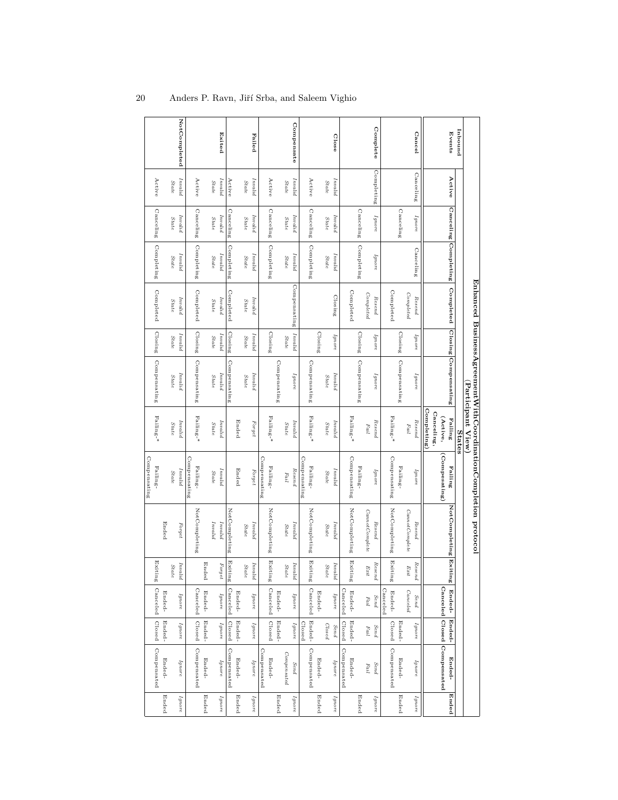|        | Compensated           | Closed           | Canceled        | Existting                  |                       | Compensating<br>Failing-                                                         | Failing-*         | Compensating         | $_{\rm Class}$        | Completed      | Completing           | Canceling    | Active       |              |
|--------|-----------------------|------------------|-----------------|----------------------------|-----------------------|----------------------------------------------------------------------------------|-------------------|----------------------|-----------------------|----------------|----------------------|--------------|--------------|--------------|
| Ended  | Ended-                | Ended-           | Ended-          |                            | Ended                 |                                                                                  |                   |                      |                       |                |                      |              |              |              |
|        |                       |                  |                 | <b>State</b>               |                       | <b>State</b>                                                                     | <b>State</b>      | <b>State</b>         | <b>State</b>          | <b>State</b>   | <b>State</b>         | <b>State</b> | <b>State</b> |              |
| Ignore | $Igmore$              | Ignore           | Ignore          | Invalid                    | Forget                | Invalid                                                                          | Invalid           | Invalid              | Invalid               | Invalid        | Invalid              | Invalid      | Invalid      | NotCompleted |
|        |                       |                  |                 |                            |                       | Compensating                                                                     |                   |                      |                       |                |                      |              |              |              |
|        | Compensated           | Closed           | Canceled        |                            | NotCompleting         | Failing-                                                                         | Failing-*         | Compensating         | $\frac{1}{2}$ Closing | Completed      | Completing           | Canceling    | Active       |              |
| Ended  | Ended-                | Ended-           | Ended-          | Ended                      |                       |                                                                                  |                   |                      |                       |                |                      |              |              |              |
|        |                       |                  |                 |                            | Invalid               | State                                                                            | <b>State</b>      | State                | <b>State</b>          | $State$        | $State$              | <b>State</b> | <b>State</b> |              |
| Ignore | Ignore                | Ignore           | $Igmore$        | $\label{eq:cond} For get$  | Invalid               | Invalid                                                                          | Invalid           | Invalid              | Invalid               | Invalid        | Invalid              | Invalid      | Invalid      | Exited       |
|        | Compensated           | Closed           | Canceled        | Exiting                    | NotCompleting         |                                                                                  |                   | Compensating         | Closing               | Completed      | Completing           | Canceling    | Active       |              |
| Ended  | Ended-                | Ended-           | Ended-          |                            |                       | Ended                                                                            | Ended             |                      |                       |                |                      |              |              |              |
|        |                       |                  |                 | <b>State</b>               | $State$               |                                                                                  |                   | <b>State</b>         | <b>State</b>          | $State$        | $State$              | <b>State</b> | <b>State</b> |              |
| Ignore | Ignore                | Ignore           | Ignore          | Invalid                    | Invalid               | $\label{eq:cond} For get$                                                        | Forget            | Invalid              | Invalid               | Invalid        | Invalid              | Invalid      | Invalid      | Failed       |
|        | Compensated           |                  |                 |                            |                       | Compensating                                                                     |                   |                      |                       |                |                      |              |              |              |
|        | Ended-                | Closed           | Canceled        | Exiting                    | NotCompleting         | Failing-                                                                         | Failing-*         |                      | Closing               |                | Completing           | Canceling    | Active       |              |
| Ended  |                       | Ended-           | Ended-          |                            |                       |                                                                                  |                   | Compensating         |                       |                |                      |              |              |              |
|        | Compensated           |                  |                 | <b>State</b>               | <b>State</b>          | $\it{Fail}$                                                                      | <b>State</b>      |                      | <b>State</b>          |                | $State$              | <b>State</b> | <b>State</b> |              |
| Ignore | $\operatorname{Send}$ | Ignore           | Ignore          | Invalid                    | Invalid               | Resend                                                                           | Invalid           | Ignore               | Invalid               | Compensating   | Invalid              | Invalid      | Invalid      | Compensate   |
|        |                       | Closed           |                 |                            |                       | Compensating                                                                     |                   |                      |                       |                |                      |              |              |              |
|        | Compensated           | Ended-           | Canceled        | Exiting                    | NotCompleting         | Failing-                                                                         | Failing-*         | Compensating         |                       |                | Completing           | Canceling    | Active       |              |
| Ended  | Ended-                |                  | Ended-          |                            |                       |                                                                                  |                   |                      | $\frac{1}{2}$         |                |                      |              |              |              |
|        |                       | Closed           |                 | <b>State</b>               | <b>State</b>          | <b>State</b>                                                                     | <b>State</b>      | <b>State</b>         |                       |                | <b>State</b>         | <b>State</b> | <b>State</b> |              |
| Ignore | Ignore                | $\emph{Send}$    | Ignore          | Invalid                    | Invalid               | Invalid                                                                          | Invalid           | Invalid              | Ignore                | Closing        | Invalid              | Invalid      | Invalid      | Close        |
|        | Compensated           | Closed           | Canceled        |                            |                       |                                                                                  |                   |                      |                       |                |                      |              |              |              |
|        | Ended-                | Ended-           | Ended-          | Exiting                    | NotCompleting         | Compensating                                                                     | Failing-*         |                      |                       | Completed      |                      |              |              |              |
| Ended  |                       |                  |                 |                            |                       | Failing-                                                                         |                   | Compensating         | Closing               |                | Completing           | Canceling    |              |              |
|        | Fail                  | $\it{Fast}$      | Fail            | $_{Ext}$                   | <i>CannotComplete</i> |                                                                                  | Fail              |                      |                       | Completed      |                      |              |              |              |
| Ignore | Send                  | Send             | <b>Send</b>     | $\label{eq:resend} Resend$ | Resend                | Ignore                                                                           | Resend            | Ignore               | Ignore                | $\it Research$ | Ignore               | Ignore       | Completing   | Complete     |
|        |                       |                  | Canceled        |                            |                       |                                                                                  |                   |                      |                       |                |                      |              |              |              |
| Ended  | Compensated<br>Ended- | Closed<br>Ended- | Ended-          | Exiting                    | NotCompleting         | Compensating<br>Failing-                                                         | Failing-*         | Compensating         | Closing               | Completed      |                      | Canceling    |              |              |
|        |                       |                  | Canceled        | Exit                       | <i>CannotComplete</i> |                                                                                  | $\it{Fail}$       |                      |                       | Completed      |                      |              |              |              |
| Ignore | Ignore                | Ignore           | Send            | $\it Resend$               | Resend                | Ignore                                                                           | $\it Research$    | Ignore               | Ignore                | Resend         | Canceling            | Ignore       | Canceling    | Cance        |
|        |                       |                  |                 |                            |                       |                                                                                  | Completing)       |                      |                       |                |                      |              |              |              |
|        |                       |                  |                 |                            |                       |                                                                                  | Canceling,        |                      |                       |                |                      |              |              |              |
|        | Closed Compensated    |                  | <b>Canceled</b> |                            |                       | (Compesating)                                                                    | (Active,          |                      |                       |                |                      |              |              |              |
| Ended  | Ended-                | Ended-           | Ended-          |                            | NotCompleting Exiting | Failing                                                                          | Failing           | Closing Compensating |                       | Completed      | Canceling Completing |              | Active       | Events       |
|        |                       |                  |                 |                            |                       |                                                                                  | States            |                      |                       |                |                      |              |              | Inbound      |
|        |                       |                  |                 |                            |                       |                                                                                  | Participant View) |                      |                       |                |                      |              |              |              |
|        |                       |                  |                 |                            |                       | $E$ nhanced Business $A$ greement $W$ ith $C$ oordination $C$ ompletion protocol |                   |                      |                       |                |                      |              |              |              |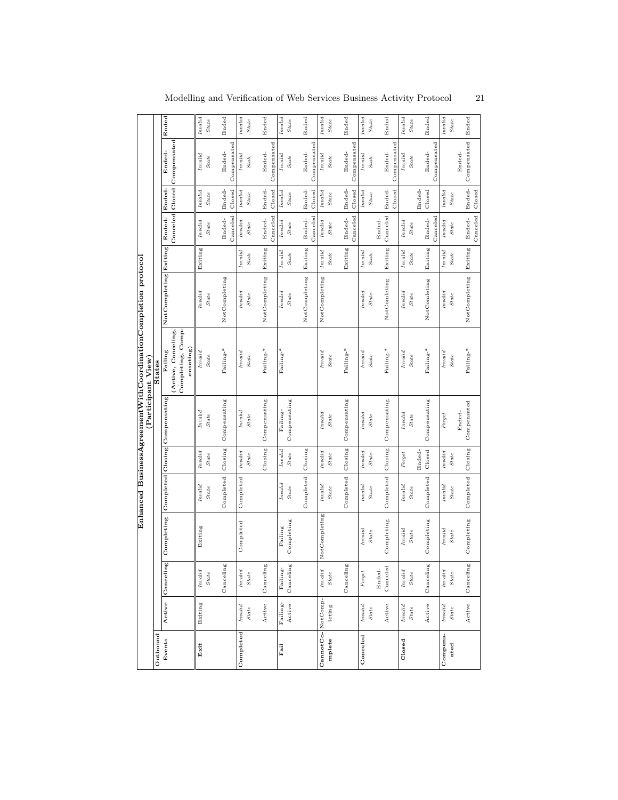|            |                                                                                                                                                                                                                                                                                                                                                                                                                                                                                                                                                   |                                                                                                                                                                                                                                                                                                                                                                                                                                                                                                                                                                                                                                                   |                                                                                                                                                                                                                                                                                                                                                                                                                                                                                         |                                                                                                                                                                                                                                                                                                                                                                                                                                                                                         |                                                                                                                                                                                                                                                                                                                                                                                                                                                                                         |                                                                                                                                                                                                                                                                                                                                                                                                                                                                                         | $\rm Enhanced~B using A greenment With Coordination Completion~protocol$<br>(Participant View) |                          |                                                                                                                                                                                                                                                                                                                                                                                                                                                                                                                |          |                                                                                                                                                                                                                                                                                                                                                                                                                                                                                                                |                                                                                                                                                                                                                                                                                                                                                                                                                                                                                                                                   |                                                                                                                                                                                                                                                                                                                                                                                                                                                                                                                      |
|------------|---------------------------------------------------------------------------------------------------------------------------------------------------------------------------------------------------------------------------------------------------------------------------------------------------------------------------------------------------------------------------------------------------------------------------------------------------------------------------------------------------------------------------------------------------|---------------------------------------------------------------------------------------------------------------------------------------------------------------------------------------------------------------------------------------------------------------------------------------------------------------------------------------------------------------------------------------------------------------------------------------------------------------------------------------------------------------------------------------------------------------------------------------------------------------------------------------------------|-----------------------------------------------------------------------------------------------------------------------------------------------------------------------------------------------------------------------------------------------------------------------------------------------------------------------------------------------------------------------------------------------------------------------------------------------------------------------------------------|-----------------------------------------------------------------------------------------------------------------------------------------------------------------------------------------------------------------------------------------------------------------------------------------------------------------------------------------------------------------------------------------------------------------------------------------------------------------------------------------|-----------------------------------------------------------------------------------------------------------------------------------------------------------------------------------------------------------------------------------------------------------------------------------------------------------------------------------------------------------------------------------------------------------------------------------------------------------------------------------------|-----------------------------------------------------------------------------------------------------------------------------------------------------------------------------------------------------------------------------------------------------------------------------------------------------------------------------------------------------------------------------------------------------------------------------------------------------------------------------------------|------------------------------------------------------------------------------------------------|--------------------------|----------------------------------------------------------------------------------------------------------------------------------------------------------------------------------------------------------------------------------------------------------------------------------------------------------------------------------------------------------------------------------------------------------------------------------------------------------------------------------------------------------------|----------|----------------------------------------------------------------------------------------------------------------------------------------------------------------------------------------------------------------------------------------------------------------------------------------------------------------------------------------------------------------------------------------------------------------------------------------------------------------------------------------------------------------|-----------------------------------------------------------------------------------------------------------------------------------------------------------------------------------------------------------------------------------------------------------------------------------------------------------------------------------------------------------------------------------------------------------------------------------------------------------------------------------------------------------------------------------|----------------------------------------------------------------------------------------------------------------------------------------------------------------------------------------------------------------------------------------------------------------------------------------------------------------------------------------------------------------------------------------------------------------------------------------------------------------------------------------------------------------------|
| Outbound   |                                                                                                                                                                                                                                                                                                                                                                                                                                                                                                                                                   |                                                                                                                                                                                                                                                                                                                                                                                                                                                                                                                                                                                                                                                   |                                                                                                                                                                                                                                                                                                                                                                                                                                                                                         |                                                                                                                                                                                                                                                                                                                                                                                                                                                                                         |                                                                                                                                                                                                                                                                                                                                                                                                                                                                                         |                                                                                                                                                                                                                                                                                                                                                                                                                                                                                         | <b>States</b>                                                                                  |                          |                                                                                                                                                                                                                                                                                                                                                                                                                                                                                                                |          |                                                                                                                                                                                                                                                                                                                                                                                                                                                                                                                |                                                                                                                                                                                                                                                                                                                                                                                                                                                                                                                                   |                                                                                                                                                                                                                                                                                                                                                                                                                                                                                                                      |
| Events     | Active                                                                                                                                                                                                                                                                                                                                                                                                                                                                                                                                            | Canceling                                                                                                                                                                                                                                                                                                                                                                                                                                                                                                                                                                                                                                         | Completing                                                                                                                                                                                                                                                                                                                                                                                                                                                                              |                                                                                                                                                                                                                                                                                                                                                                                                                                                                                         |                                                                                                                                                                                                                                                                                                                                                                                                                                                                                         | Completed Closing Compensating                                                                                                                                                                                                                                                                                                                                                                                                                                                          | Failing                                                                                        | NotCompleting Exiting    |                                                                                                                                                                                                                                                                                                                                                                                                                                                                                                                | Ended-   | Ended-                                                                                                                                                                                                                                                                                                                                                                                                                                                                                                         | Ended-                                                                                                                                                                                                                                                                                                                                                                                                                                                                                                                            | Ended                                                                                                                                                                                                                                                                                                                                                                                                                                                                                                                |
|            |                                                                                                                                                                                                                                                                                                                                                                                                                                                                                                                                                   |                                                                                                                                                                                                                                                                                                                                                                                                                                                                                                                                                                                                                                                   |                                                                                                                                                                                                                                                                                                                                                                                                                                                                                         |                                                                                                                                                                                                                                                                                                                                                                                                                                                                                         |                                                                                                                                                                                                                                                                                                                                                                                                                                                                                         |                                                                                                                                                                                                                                                                                                                                                                                                                                                                                         | (Active, Canceling,                                                                            |                          |                                                                                                                                                                                                                                                                                                                                                                                                                                                                                                                |          |                                                                                                                                                                                                                                                                                                                                                                                                                                                                                                                | Canceled Closed Compensated                                                                                                                                                                                                                                                                                                                                                                                                                                                                                                       |                                                                                                                                                                                                                                                                                                                                                                                                                                                                                                                      |
|            |                                                                                                                                                                                                                                                                                                                                                                                                                                                                                                                                                   |                                                                                                                                                                                                                                                                                                                                                                                                                                                                                                                                                                                                                                                   |                                                                                                                                                                                                                                                                                                                                                                                                                                                                                         |                                                                                                                                                                                                                                                                                                                                                                                                                                                                                         |                                                                                                                                                                                                                                                                                                                                                                                                                                                                                         |                                                                                                                                                                                                                                                                                                                                                                                                                                                                                         | Completing, Comp-                                                                              |                          |                                                                                                                                                                                                                                                                                                                                                                                                                                                                                                                |          |                                                                                                                                                                                                                                                                                                                                                                                                                                                                                                                |                                                                                                                                                                                                                                                                                                                                                                                                                                                                                                                                   |                                                                                                                                                                                                                                                                                                                                                                                                                                                                                                                      |
|            |                                                                                                                                                                                                                                                                                                                                                                                                                                                                                                                                                   |                                                                                                                                                                                                                                                                                                                                                                                                                                                                                                                                                                                                                                                   |                                                                                                                                                                                                                                                                                                                                                                                                                                                                                         |                                                                                                                                                                                                                                                                                                                                                                                                                                                                                         |                                                                                                                                                                                                                                                                                                                                                                                                                                                                                         |                                                                                                                                                                                                                                                                                                                                                                                                                                                                                         | ensating)                                                                                      |                          |                                                                                                                                                                                                                                                                                                                                                                                                                                                                                                                |          |                                                                                                                                                                                                                                                                                                                                                                                                                                                                                                                |                                                                                                                                                                                                                                                                                                                                                                                                                                                                                                                                   |                                                                                                                                                                                                                                                                                                                                                                                                                                                                                                                      |
| Exit       | Exiting                                                                                                                                                                                                                                                                                                                                                                                                                                                                                                                                           | Invalid                                                                                                                                                                                                                                                                                                                                                                                                                                                                                                                                                                                                                                           | Exiting                                                                                                                                                                                                                                                                                                                                                                                                                                                                                 | Invalid                                                                                                                                                                                                                                                                                                                                                                                                                                                                                 | Invalid                                                                                                                                                                                                                                                                                                                                                                                                                                                                                 | Invalid                                                                                                                                                                                                                                                                                                                                                                                                                                                                                 | Invalid                                                                                        | Invalid                  | Exiting                                                                                                                                                                                                                                                                                                                                                                                                                                                                                                        | Invalid  | $In valid$                                                                                                                                                                                                                                                                                                                                                                                                                                                                                                     | Invalid                                                                                                                                                                                                                                                                                                                                                                                                                                                                                                                           | Invalid                                                                                                                                                                                                                                                                                                                                                                                                                                                                                                              |
|            |                                                                                                                                                                                                                                                                                                                                                                                                                                                                                                                                                   | $State$                                                                                                                                                                                                                                                                                                                                                                                                                                                                                                                                                                                                                                           |                                                                                                                                                                                                                                                                                                                                                                                                                                                                                         | $State$                                                                                                                                                                                                                                                                                                                                                                                                                                                                                 | $State% \[ \includegraphics[width=1.8\columnwidth]{figures/2.pdf} \caption{Sstate $\Sigma_{t}^{X}$, $\Sigma_{t}$, $\Sigma_{t}^{X}$, $\Sigma_{t}^{X}$, $\Sigma_{t}^{X}$, $\Sigma_{t}^{X}$, $\Sigma_{t}^{X}$, $\Sigma_{t}^{X}$, $\Sigma_{t}^{X}$, $\Sigma_{t}^{X}$, $\Sigma_{t}^{X}$, $\Sigma_{t}^{X}$, $\Sigma_{t}^{X}$, $\Sigma_{t}^{X}$, $\Sigma_{t}^{X}$, $\Sigma_{t}^{X}$, $\Sigma_{t}^{X}$, $\Sigma_{t}^{X}$, $\Sigma_{t}^{X}$, $\Sigma_{t}^{X}$, $\Sigma_{t}^{X}$, $\Sigma_{t}^{X$ | State                                                                                                                                                                                                                                                                                                                                                                                                                                                                                   | State                                                                                          | State                    |                                                                                                                                                                                                                                                                                                                                                                                                                                                                                                                | State    | $State$                                                                                                                                                                                                                                                                                                                                                                                                                                                                                                        | $State$                                                                                                                                                                                                                                                                                                                                                                                                                                                                                                                           | $State$                                                                                                                                                                                                                                                                                                                                                                                                                                                                                                              |
|            |                                                                                                                                                                                                                                                                                                                                                                                                                                                                                                                                                   | $\frac{80}{11}$<br>Cancelin                                                                                                                                                                                                                                                                                                                                                                                                                                                                                                                                                                                                                       |                                                                                                                                                                                                                                                                                                                                                                                                                                                                                         | Completed                                                                                                                                                                                                                                                                                                                                                                                                                                                                               | Closing                                                                                                                                                                                                                                                                                                                                                                                                                                                                                 | Compensating                                                                                                                                                                                                                                                                                                                                                                                                                                                                            | Failing-*                                                                                      | NotCompleting            |                                                                                                                                                                                                                                                                                                                                                                                                                                                                                                                | Ended-   | Ended-                                                                                                                                                                                                                                                                                                                                                                                                                                                                                                         | Ended-                                                                                                                                                                                                                                                                                                                                                                                                                                                                                                                            | Ended                                                                                                                                                                                                                                                                                                                                                                                                                                                                                                                |
|            |                                                                                                                                                                                                                                                                                                                                                                                                                                                                                                                                                   |                                                                                                                                                                                                                                                                                                                                                                                                                                                                                                                                                                                                                                                   |                                                                                                                                                                                                                                                                                                                                                                                                                                                                                         |                                                                                                                                                                                                                                                                                                                                                                                                                                                                                         |                                                                                                                                                                                                                                                                                                                                                                                                                                                                                         |                                                                                                                                                                                                                                                                                                                                                                                                                                                                                         |                                                                                                |                          |                                                                                                                                                                                                                                                                                                                                                                                                                                                                                                                | Canceled | Closed                                                                                                                                                                                                                                                                                                                                                                                                                                                                                                         | Compensated                                                                                                                                                                                                                                                                                                                                                                                                                                                                                                                       |                                                                                                                                                                                                                                                                                                                                                                                                                                                                                                                      |
| Completed  | Invalid                                                                                                                                                                                                                                                                                                                                                                                                                                                                                                                                           | Invalid                                                                                                                                                                                                                                                                                                                                                                                                                                                                                                                                                                                                                                           | Completed                                                                                                                                                                                                                                                                                                                                                                                                                                                                               | Completed                                                                                                                                                                                                                                                                                                                                                                                                                                                                               | Invalid                                                                                                                                                                                                                                                                                                                                                                                                                                                                                 | Invalid                                                                                                                                                                                                                                                                                                                                                                                                                                                                                 | Invalid                                                                                        | Invalid                  | $In valid$                                                                                                                                                                                                                                                                                                                                                                                                                                                                                                     | Invalid  | Invalid                                                                                                                                                                                                                                                                                                                                                                                                                                                                                                        | $In valid$                                                                                                                                                                                                                                                                                                                                                                                                                                                                                                                        | Invalid                                                                                                                                                                                                                                                                                                                                                                                                                                                                                                              |
|            | $State$                                                                                                                                                                                                                                                                                                                                                                                                                                                                                                                                           | $State% \[ \includegraphics[width=1\textwidth]{figs/fig_4.pdf} \] The first figure% \[ \includegraphics[width=1\textwidth]{figs/fig_4.pdf} \] The first figure% \[ \includegraphics[width=1\textwidth]{figs/fig_4.pdf} \] The second figure% \[ \includegraphics[width=1\textwidth]{figs/fig_4.pdf} \] The second figure% \[ \includegraphics[width=1\textwidth]{figs/fig_4.pdf} \] The second figure% \[ \includegraphics[width=1\textwidth]{figs/fig_4.pdf} \] The second figure% \[ \includegraphics[width=1\textwidth]{figs/fig_4.pdf} \] The second figure% \[ \includegraphics[width=1\textwidth]{figs/fig_4.pdf} \] The second figure% \[$ |                                                                                                                                                                                                                                                                                                                                                                                                                                                                                         |                                                                                                                                                                                                                                                                                                                                                                                                                                                                                         | $State$                                                                                                                                                                                                                                                                                                                                                                                                                                                                                 | $State% \[ \includegraphics[width=1.8\columnwidth]{figures/2.pdf} \caption{Sstate $\Sigma_{t}^{X}$, $\Sigma_{t}^{X}$, $\Sigma_{t}^{X}$, $\Sigma_{t}^{X}$, $\Sigma_{t}^{X}$, $\Sigma_{t}^{X}$, $\Sigma_{t}^{X}$, $\Sigma_{t}^{X}$, $\Sigma_{t}^{X}$, $\Sigma_{t}^{X}$, $\Sigma_{t}^{X}$, $\Sigma_{t}^{X}$, $\Sigma_{t}^{X}$, $\Sigma_{t}^{X}$, $\Sigma_{t}^{X}$, $\Sigma_{t}^{X}$, $\Sigma_{t}^{X}$, $\Sigma_{t}^{X}$, $\Sigma_{t}^{X}$, $\Sigma_{t}^{X}$, $\Sigma_{t}^{X}$, $\Sigma_{t$ | $State$                                                                                        | $State$                  | $State% \[ \includegraphics[width=1\textwidth]{figs/fig_4.pdf} \caption{Sstate $\Sigma_{\rm c}=\Sigma_{\rm c}=\Sigma_{\rm c}=\Sigma_{\rm c}=\Sigma_{\rm c}=\Sigma_{\rm c}=\Sigma_{\rm c}=\Sigma_{\rm c}=\Sigma_{\rm c}=\Sigma_{\rm c}=\Sigma_{\rm c}=\Sigma_{\rm c}=\Sigma_{\rm c}=\Sigma_{\rm c}=\Sigma_{\rm c}=\Sigma_{\rm c}=\Sigma_{\rm c}=\Sigma_{\rm c}=\Sigma_{\rm c}=\Sigma_{\rm c}=\Sigma_{\rm c}=\Sigma_{\rm c}=\Sigma_{\rm c}=\Sigma_{\rm c}=\Sigma_{\rm c}=\Sigma_{\rm c}=\Sigma_{\rm c}=\Sigma_{$ | $State$  | $State$                                                                                                                                                                                                                                                                                                                                                                                                                                                                                                        | $State% \[ \includegraphics[width=1.8\columnwidth]{figures/2.pdf} \caption{Sstate $\mathcal{L}_c$ for $\mathcal{L}_c$ for $\mathcal{L}_c$ for $\mathcal{L}_c$ for $\mathcal{L}_c$ for $\mathcal{L}_c$ for $\mathcal{L}_c$ for $\mathcal{L}_c$ for $\mathcal{L}_c$ for $\mathcal{L}_c$ for $\mathcal{L}_c$ for $\mathcal{L}_c$ for $\mathcal{L}_c$ for $\mathcal{L}_c$ for $\mathcal{L}_c$ for $\mathcal{L}_c$ for $\mathcal{L}_c$ for $\mathcal{L}_c$ for $\mathcal{L}_c$ for $\mathcal{L}_c$ for $\mathcal{L}_c$ for $\mathcal{$ | $State$                                                                                                                                                                                                                                                                                                                                                                                                                                                                                                              |
|            | Active                                                                                                                                                                                                                                                                                                                                                                                                                                                                                                                                            | Canceling                                                                                                                                                                                                                                                                                                                                                                                                                                                                                                                                                                                                                                         |                                                                                                                                                                                                                                                                                                                                                                                                                                                                                         |                                                                                                                                                                                                                                                                                                                                                                                                                                                                                         | Closing                                                                                                                                                                                                                                                                                                                                                                                                                                                                                 | Compensating                                                                                                                                                                                                                                                                                                                                                                                                                                                                            | $Failing-*$                                                                                    | NotCompleting            | Exiting                                                                                                                                                                                                                                                                                                                                                                                                                                                                                                        | Ended-   | Ended-                                                                                                                                                                                                                                                                                                                                                                                                                                                                                                         | Ended-                                                                                                                                                                                                                                                                                                                                                                                                                                                                                                                            | Ended                                                                                                                                                                                                                                                                                                                                                                                                                                                                                                                |
|            |                                                                                                                                                                                                                                                                                                                                                                                                                                                                                                                                                   |                                                                                                                                                                                                                                                                                                                                                                                                                                                                                                                                                                                                                                                   |                                                                                                                                                                                                                                                                                                                                                                                                                                                                                         |                                                                                                                                                                                                                                                                                                                                                                                                                                                                                         |                                                                                                                                                                                                                                                                                                                                                                                                                                                                                         |                                                                                                                                                                                                                                                                                                                                                                                                                                                                                         |                                                                                                |                          |                                                                                                                                                                                                                                                                                                                                                                                                                                                                                                                | Canceled | Closed                                                                                                                                                                                                                                                                                                                                                                                                                                                                                                         | Compensated                                                                                                                                                                                                                                                                                                                                                                                                                                                                                                                       |                                                                                                                                                                                                                                                                                                                                                                                                                                                                                                                      |
| Fail       | Failing-                                                                                                                                                                                                                                                                                                                                                                                                                                                                                                                                          | Failing-                                                                                                                                                                                                                                                                                                                                                                                                                                                                                                                                                                                                                                          | Failing                                                                                                                                                                                                                                                                                                                                                                                                                                                                                 | Invalid                                                                                                                                                                                                                                                                                                                                                                                                                                                                                 | Invalid                                                                                                                                                                                                                                                                                                                                                                                                                                                                                 | Failing-                                                                                                                                                                                                                                                                                                                                                                                                                                                                                | Failing-*                                                                                      | Invalid                  | Invalid                                                                                                                                                                                                                                                                                                                                                                                                                                                                                                        | Invalid  | Invalid                                                                                                                                                                                                                                                                                                                                                                                                                                                                                                        | Invalid                                                                                                                                                                                                                                                                                                                                                                                                                                                                                                                           | $In valid$                                                                                                                                                                                                                                                                                                                                                                                                                                                                                                           |
|            | Active                                                                                                                                                                                                                                                                                                                                                                                                                                                                                                                                            | Canceling                                                                                                                                                                                                                                                                                                                                                                                                                                                                                                                                                                                                                                         | Completing                                                                                                                                                                                                                                                                                                                                                                                                                                                                              | $State$                                                                                                                                                                                                                                                                                                                                                                                                                                                                                 | $State$                                                                                                                                                                                                                                                                                                                                                                                                                                                                                 | Compensating                                                                                                                                                                                                                                                                                                                                                                                                                                                                            |                                                                                                | State                    | <b>State</b>                                                                                                                                                                                                                                                                                                                                                                                                                                                                                                   | $State$  | $State% \[ \includegraphics[width=1\textwidth]{figs/fig_4.pdf} \caption{Sstate $\Sigma_{\rm c}=\Sigma_{\rm c}=\Sigma_{\rm c}=\Sigma_{\rm c}=\Sigma_{\rm c}=\Sigma_{\rm c}=\Sigma_{\rm c}=\Sigma_{\rm c}=\Sigma_{\rm c}=\Sigma_{\rm c}=\Sigma_{\rm c}=\Sigma_{\rm c}=\Sigma_{\rm c}=\Sigma_{\rm c}=\Sigma_{\rm c}=\Sigma_{\rm c}=\Sigma_{\rm c}=\Sigma_{\rm c}=\Sigma_{\rm c}=\Sigma_{\rm c}=\Sigma_{\rm c}=\Sigma_{\rm c}=\Sigma_{\rm c}=\Sigma_{\rm c}=\Sigma_{\rm c}=\Sigma_{\rm c}=\Sigma_{\rm c}=\Sigma_{$ | $State$                                                                                                                                                                                                                                                                                                                                                                                                                                                                                                                           | $State$                                                                                                                                                                                                                                                                                                                                                                                                                                                                                                              |
|            |                                                                                                                                                                                                                                                                                                                                                                                                                                                                                                                                                   |                                                                                                                                                                                                                                                                                                                                                                                                                                                                                                                                                                                                                                                   |                                                                                                                                                                                                                                                                                                                                                                                                                                                                                         |                                                                                                                                                                                                                                                                                                                                                                                                                                                                                         |                                                                                                                                                                                                                                                                                                                                                                                                                                                                                         |                                                                                                                                                                                                                                                                                                                                                                                                                                                                                         |                                                                                                |                          |                                                                                                                                                                                                                                                                                                                                                                                                                                                                                                                |          |                                                                                                                                                                                                                                                                                                                                                                                                                                                                                                                |                                                                                                                                                                                                                                                                                                                                                                                                                                                                                                                                   |                                                                                                                                                                                                                                                                                                                                                                                                                                                                                                                      |
|            |                                                                                                                                                                                                                                                                                                                                                                                                                                                                                                                                                   |                                                                                                                                                                                                                                                                                                                                                                                                                                                                                                                                                                                                                                                   |                                                                                                                                                                                                                                                                                                                                                                                                                                                                                         | Completed                                                                                                                                                                                                                                                                                                                                                                                                                                                                               | Closing                                                                                                                                                                                                                                                                                                                                                                                                                                                                                 |                                                                                                                                                                                                                                                                                                                                                                                                                                                                                         |                                                                                                | NotCompleting            | Exiting                                                                                                                                                                                                                                                                                                                                                                                                                                                                                                        | Ended-   | Ended-                                                                                                                                                                                                                                                                                                                                                                                                                                                                                                         | Ended-                                                                                                                                                                                                                                                                                                                                                                                                                                                                                                                            | Ended                                                                                                                                                                                                                                                                                                                                                                                                                                                                                                                |
|            |                                                                                                                                                                                                                                                                                                                                                                                                                                                                                                                                                   |                                                                                                                                                                                                                                                                                                                                                                                                                                                                                                                                                                                                                                                   |                                                                                                                                                                                                                                                                                                                                                                                                                                                                                         |                                                                                                                                                                                                                                                                                                                                                                                                                                                                                         |                                                                                                                                                                                                                                                                                                                                                                                                                                                                                         |                                                                                                                                                                                                                                                                                                                                                                                                                                                                                         |                                                                                                |                          |                                                                                                                                                                                                                                                                                                                                                                                                                                                                                                                | Canceled | Closed                                                                                                                                                                                                                                                                                                                                                                                                                                                                                                         | Compensated                                                                                                                                                                                                                                                                                                                                                                                                                                                                                                                       |                                                                                                                                                                                                                                                                                                                                                                                                                                                                                                                      |
| Cannot Co- | $NotComp-$                                                                                                                                                                                                                                                                                                                                                                                                                                                                                                                                        | Invalid                                                                                                                                                                                                                                                                                                                                                                                                                                                                                                                                                                                                                                           | NotCompleting                                                                                                                                                                                                                                                                                                                                                                                                                                                                           | Invalid                                                                                                                                                                                                                                                                                                                                                                                                                                                                                 | Invalid                                                                                                                                                                                                                                                                                                                                                                                                                                                                                 | Invalid                                                                                                                                                                                                                                                                                                                                                                                                                                                                                 | Invalid                                                                                        | NotCompleting            | Invalid                                                                                                                                                                                                                                                                                                                                                                                                                                                                                                        | Invalid  | Invalid                                                                                                                                                                                                                                                                                                                                                                                                                                                                                                        | Invalid                                                                                                                                                                                                                                                                                                                                                                                                                                                                                                                           | $In valid$                                                                                                                                                                                                                                                                                                                                                                                                                                                                                                           |
| mplete     | leting                                                                                                                                                                                                                                                                                                                                                                                                                                                                                                                                            | $State$                                                                                                                                                                                                                                                                                                                                                                                                                                                                                                                                                                                                                                           |                                                                                                                                                                                                                                                                                                                                                                                                                                                                                         | $State% \[ \includegraphics[width=1.8\columnwidth]{figures/2.pdf} \caption{Sstate $\Sigma_{t}^{X}$, $\Sigma_{t}$, $\Sigma_{t}^{X}$, $\Sigma_{t}^{X}$, $\Sigma_{t}^{X}$, $\Sigma_{t}^{X}$, $\Sigma_{t}^{X}$, $\Sigma_{t}^{X}$, $\Sigma_{t}^{X}$, $\Sigma_{t}^{X}$, $\Sigma_{t}^{X}$, $\Sigma_{t}^{X}$, $\Sigma_{t}^{X}$, $\Sigma_{t}^{X}$, $\Sigma_{t}^{X}$, $\Sigma_{t}^{X}$, $\Sigma_{t}^{X}$, $\Sigma_{t}^{X}$, $\Sigma_{t}^{X}$, $\Sigma_{t}^{X}$, $\Sigma_{t}^{X}$, $\Sigma_{t}^{X$ | $State% \[ \includegraphics[width=1.8\columnwidth]{figures/2.pdf} \caption{Sstate $\Sigma_{t}^{X}$, $\Sigma_{t}$, $\Sigma_{t}^{X}$, $\Sigma_{t}^{X}$, $\Sigma_{t}^{X}$, $\Sigma_{t}^{X}$, $\Sigma_{t}^{X}$, $\Sigma_{t}^{X}$, $\Sigma_{t}^{X}$, $\Sigma_{t}^{X}$, $\Sigma_{t}^{X}$, $\Sigma_{t}^{X}$, $\Sigma_{t}^{X}$, $\Sigma_{t}^{X}$, $\Sigma_{t}^{X}$, $\Sigma_{t}^{X}$, $\Sigma_{t}^{X}$, $\Sigma_{t}^{X}$, $\Sigma_{t}^{X}$, $\Sigma_{t}^{X}$, $\Sigma_{t}^{X}$, $\Sigma_{t}^{X$ | $State$                                                                                                                                                                                                                                                                                                                                                                                                                                                                                 | $State$                                                                                        |                          |                                                                                                                                                                                                                                                                                                                                                                                                                                                                                                                | $State$  | $State$                                                                                                                                                                                                                                                                                                                                                                                                                                                                                                        | $State% \[ \includegraphics[width=1.8\columnwidth]{figures/2.pdf} \caption{Sstate $\Sigma_{t}^{X}$, $\Sigma_{t}$, $\Sigma_{t}^{X}$, $\Sigma_{t}^{X}$, $\Sigma_{t}^{X}$, $\Sigma_{t}^{X}$, $\Sigma_{t}^{X}$, $\Sigma_{t}^{X}$, $\Sigma_{t}^{X}$, $\Sigma_{t}^{X}$, $\Sigma_{t}^{X}$, $\Sigma_{t}^{X}$, $\Sigma_{t}^{X}$, $\Sigma_{t}^{X}$, $\Sigma_{t}^{X}$, $\Sigma_{t}^{X}$, $\Sigma_{t}^{X}$, $\Sigma_{t}^{X}$, $\Sigma_{t}^{X}$, $\Sigma_{t}^{X}$, $\Sigma_{t}^{X}$, $\Sigma_{t}^{X$                                           | $State% \[ \includegraphics[width=1.8\columnwidth]{gloss16002012.pdf} \caption{Sstate $\mathcal{L}_c$ for $\mathcal{L}_c$ for $\mathcal{L}_c$ for $\mathcal{L}_c$ for $\mathcal{L}_c$ for $\mathcal{L}_c$ for $\mathcal{L}_c$ for $\mathcal{L}_c$ for $\mathcal{L}_c$ for $\mathcal{L}_c$ for $\mathcal{L}_c$ for $\mathcal{L}_c$ for $\mathcal{L}_c$ for $\mathcal{L}_c$ for $\mathcal{L}_c$ for $\mathcal{L}_c$ for $\mathcal{L}_c$ for $\mathcal{L}_c$ for $\mathcal{L}_c$ for $\mathcal{L}_c$ for $\mathcal{L}_$ |
|            |                                                                                                                                                                                                                                                                                                                                                                                                                                                                                                                                                   | $\frac{80}{11}$<br>Cancelin                                                                                                                                                                                                                                                                                                                                                                                                                                                                                                                                                                                                                       |                                                                                                                                                                                                                                                                                                                                                                                                                                                                                         | Completed                                                                                                                                                                                                                                                                                                                                                                                                                                                                               | Closing                                                                                                                                                                                                                                                                                                                                                                                                                                                                                 | Compensating                                                                                                                                                                                                                                                                                                                                                                                                                                                                            | Failing-*                                                                                      |                          | Exiting                                                                                                                                                                                                                                                                                                                                                                                                                                                                                                        | Ended-   | Ended-                                                                                                                                                                                                                                                                                                                                                                                                                                                                                                         | Ended-                                                                                                                                                                                                                                                                                                                                                                                                                                                                                                                            | Ended                                                                                                                                                                                                                                                                                                                                                                                                                                                                                                                |
|            |                                                                                                                                                                                                                                                                                                                                                                                                                                                                                                                                                   |                                                                                                                                                                                                                                                                                                                                                                                                                                                                                                                                                                                                                                                   |                                                                                                                                                                                                                                                                                                                                                                                                                                                                                         |                                                                                                                                                                                                                                                                                                                                                                                                                                                                                         |                                                                                                                                                                                                                                                                                                                                                                                                                                                                                         |                                                                                                                                                                                                                                                                                                                                                                                                                                                                                         |                                                                                                |                          |                                                                                                                                                                                                                                                                                                                                                                                                                                                                                                                | Canceled | Closed                                                                                                                                                                                                                                                                                                                                                                                                                                                                                                         | Compensated                                                                                                                                                                                                                                                                                                                                                                                                                                                                                                                       |                                                                                                                                                                                                                                                                                                                                                                                                                                                                                                                      |
| Canceled   | Invalid                                                                                                                                                                                                                                                                                                                                                                                                                                                                                                                                           | $\label{eq:rotpet} \begin{array}{ll} \hspace{-2.0mm} \textit{Forget} \end{array}$                                                                                                                                                                                                                                                                                                                                                                                                                                                                                                                                                                 | Invalid                                                                                                                                                                                                                                                                                                                                                                                                                                                                                 | Invalid                                                                                                                                                                                                                                                                                                                                                                                                                                                                                 | Invalid                                                                                                                                                                                                                                                                                                                                                                                                                                                                                 | Invalid                                                                                                                                                                                                                                                                                                                                                                                                                                                                                 | Invalid                                                                                        | Invalid                  | Invalid                                                                                                                                                                                                                                                                                                                                                                                                                                                                                                        |          | Invalid                                                                                                                                                                                                                                                                                                                                                                                                                                                                                                        | Invalid                                                                                                                                                                                                                                                                                                                                                                                                                                                                                                                           | Invalid                                                                                                                                                                                                                                                                                                                                                                                                                                                                                                              |
|            | $State% \[ \includegraphics[width=1\textwidth]{figs/fig_4b} }% \caption{The 3D (top) of the 3D (bottom) of the 3D (bottom) of the 3D (bottom) of the 3D (bottom) of the 3D (bottom). The 3D (bottom) of the 3D (bottom) of the 3D (bottom). The 3D (bottom) of the 3D (bottom). The 3D (bottom) of the 3D (bottom). The 3D (bottom) of the 3D (bottom). The 3D (bottom) of the 3D (bottom). The 3D (bottom) of the 3D (bottom). The 3D (bottom) of the 3D (bottom). The 3D (bottom) of the 3D (bottom). The 3D (bottom) of the 3D (bottom). The $ |                                                                                                                                                                                                                                                                                                                                                                                                                                                                                                                                                                                                                                                   | $State% \[ \includegraphics[width=1.8\columnwidth]{figures/2.pdf} \caption{Sstate $\Sigma_{t}^{X}$, $\Sigma_{t}$, $\Sigma_{t}^{X}$, $\Sigma_{t}^{X}$, $\Sigma_{t}^{X}$, $\Sigma_{t}^{X}$, $\Sigma_{t}^{X}$, $\Sigma_{t}^{X}$, $\Sigma_{t}^{X}$, $\Sigma_{t}^{X}$, $\Sigma_{t}^{X}$, $\Sigma_{t}^{X}$, $\Sigma_{t}^{X}$, $\Sigma_{t}^{X}$, $\Sigma_{t}^{X}$, $\Sigma_{t}^{X}$, $\Sigma_{t}^{X}$, $\Sigma_{t}^{X}$, $\Sigma_{t}^{X}$, $\Sigma_{t}^{X}$, $\Sigma_{t}^{X}$, $\Sigma_{t}^{X$ | $State% \[ \includegraphics[width=1.8\columnwidth]{figures/2.pdf} \caption{Sstate $\Sigma_{t}^{X}$, $\Sigma_{t}$, $\Sigma_{t}^{X}$, $\Sigma_{t}^{X}$, $\Sigma_{t}^{X}$, $\Sigma_{t}^{X}$, $\Sigma_{t}^{X}$, $\Sigma_{t}^{X}$, $\Sigma_{t}^{X}$, $\Sigma_{t}^{X}$, $\Sigma_{t}^{X}$, $\Sigma_{t}^{X}$, $\Sigma_{t}^{X}$, $\Sigma_{t}^{X}$, $\Sigma_{t}^{X}$, $\Sigma_{t}^{X}$, $\Sigma_{t}^{X}$, $\Sigma_{t}^{X}$, $\Sigma_{t}^{X}$, $\Sigma_{t}^{X}$, $\Sigma_{t}^{X}$, $\Sigma_{t}^{X$ |                                                                                                                                                                                                                                                                                                                                                                                                                                                                                         | $State$                                                                                                                                                                                                                                                                                                                                                                                                                                                                                 | $State$                                                                                        | $State$                  | $State$                                                                                                                                                                                                                                                                                                                                                                                                                                                                                                        |          | $State$                                                                                                                                                                                                                                                                                                                                                                                                                                                                                                        | $State$                                                                                                                                                                                                                                                                                                                                                                                                                                                                                                                           | $State$                                                                                                                                                                                                                                                                                                                                                                                                                                                                                                              |
|            |                                                                                                                                                                                                                                                                                                                                                                                                                                                                                                                                                   | Ended-                                                                                                                                                                                                                                                                                                                                                                                                                                                                                                                                                                                                                                            |                                                                                                                                                                                                                                                                                                                                                                                                                                                                                         |                                                                                                                                                                                                                                                                                                                                                                                                                                                                                         |                                                                                                                                                                                                                                                                                                                                                                                                                                                                                         |                                                                                                                                                                                                                                                                                                                                                                                                                                                                                         |                                                                                                |                          |                                                                                                                                                                                                                                                                                                                                                                                                                                                                                                                | Ended-   |                                                                                                                                                                                                                                                                                                                                                                                                                                                                                                                |                                                                                                                                                                                                                                                                                                                                                                                                                                                                                                                                   |                                                                                                                                                                                                                                                                                                                                                                                                                                                                                                                      |
|            | Active                                                                                                                                                                                                                                                                                                                                                                                                                                                                                                                                            | Canceled                                                                                                                                                                                                                                                                                                                                                                                                                                                                                                                                                                                                                                          | Completing                                                                                                                                                                                                                                                                                                                                                                                                                                                                              | Completed                                                                                                                                                                                                                                                                                                                                                                                                                                                                               | $\frac{1}{2}$                                                                                                                                                                                                                                                                                                                                                                                                                                                                           | Compensating                                                                                                                                                                                                                                                                                                                                                                                                                                                                            | $Failing-*$                                                                                    | NotComleting             | Exiting                                                                                                                                                                                                                                                                                                                                                                                                                                                                                                        | Canceled | Ended-                                                                                                                                                                                                                                                                                                                                                                                                                                                                                                         | Ended-                                                                                                                                                                                                                                                                                                                                                                                                                                                                                                                            | Ended                                                                                                                                                                                                                                                                                                                                                                                                                                                                                                                |
|            |                                                                                                                                                                                                                                                                                                                                                                                                                                                                                                                                                   |                                                                                                                                                                                                                                                                                                                                                                                                                                                                                                                                                                                                                                                   |                                                                                                                                                                                                                                                                                                                                                                                                                                                                                         |                                                                                                                                                                                                                                                                                                                                                                                                                                                                                         |                                                                                                                                                                                                                                                                                                                                                                                                                                                                                         |                                                                                                                                                                                                                                                                                                                                                                                                                                                                                         |                                                                                                |                          |                                                                                                                                                                                                                                                                                                                                                                                                                                                                                                                |          | Closed                                                                                                                                                                                                                                                                                                                                                                                                                                                                                                         | Compensated                                                                                                                                                                                                                                                                                                                                                                                                                                                                                                                       |                                                                                                                                                                                                                                                                                                                                                                                                                                                                                                                      |
| Closed     | Invalid<br>$State$                                                                                                                                                                                                                                                                                                                                                                                                                                                                                                                                | Invalid<br>$State$                                                                                                                                                                                                                                                                                                                                                                                                                                                                                                                                                                                                                                | Invalid                                                                                                                                                                                                                                                                                                                                                                                                                                                                                 | Invalid<br>$State$                                                                                                                                                                                                                                                                                                                                                                                                                                                                      | $\label{eq:rotpet} \begin{array}{ll} \hspace{-2.0mm} \textit{Forget} \end{array}$                                                                                                                                                                                                                                                                                                                                                                                                       | Invalid                                                                                                                                                                                                                                                                                                                                                                                                                                                                                 | Invalid<br>$State$                                                                             | Invalid                  | Invalid<br>$State% \[ \includegraphics[width=1.8\columnwidth]{figures/2.pdf} \caption{Sstate $\Sigma_{t}^{X,Y}$ for $t=0.1$ and $t=0.2$ for $t=0.1$ and $t=0.2$ for $t=0.2$ and $t=0.2$ for $t=0.2$ and $t=0.2$ for $t=0.2$ for $t=0.2$ and $t=0.2$ for $t=0.2$ for $t=0.2$ for $t=0.2$ for $t=0.2$ for $t=0.2$ for $t=0.2$ for $t=0.2$ for $t=0.2$ for $t=0.2$ for $t=0.2$ for $t=0.2$ for $t=0.2$$                                                                                                           | Invalid  |                                                                                                                                                                                                                                                                                                                                                                                                                                                                                                                | Invalid<br>$State$                                                                                                                                                                                                                                                                                                                                                                                                                                                                                                                | Invalid<br>$State$                                                                                                                                                                                                                                                                                                                                                                                                                                                                                                   |
|            |                                                                                                                                                                                                                                                                                                                                                                                                                                                                                                                                                   |                                                                                                                                                                                                                                                                                                                                                                                                                                                                                                                                                                                                                                                   | $State% \[ \includegraphics[width=1.8\columnwidth]{figures/2.pdf} \caption{Sstate $\Sigma_{t}^{X,Y}$ for $t=0.1$ and $t=0.2$ for $t=0.1$ and $t=0.2$ for $t=0.1$ and $t=0.2$ for $t=0.2$ and $t=0.2$ for $t=0.2$ for $t=0.2$ and $t=0.2$ for $t=0.2$ for $t=0.2$ for $t=0.2$ for $t=0.2$ for $t=0.2$ for $t=0.2$ for $t=0.2$ for $t=0.2$ for $t=0.2$ for $t=0.2$ for $t=0.2$ for $t=0.2$$                                                                                               |                                                                                                                                                                                                                                                                                                                                                                                                                                                                                         | Ended-                                                                                                                                                                                                                                                                                                                                                                                                                                                                                  | $State% \[ \includegraphics[width=1.8\columnwidth]{figures/2.pdf} \caption{Sstate $\Sigma_{t}^{X}$, $\Sigma_{t}$, $\Sigma_{t}^{X}$, $\Sigma_{t}^{X}$, $\Sigma_{t}^{X}$, $\Sigma_{t}^{X}$, $\Sigma_{t}^{X}$, $\Sigma_{t}^{X}$, $\Sigma_{t}^{X}$, $\Sigma_{t}^{X}$, $\Sigma_{t}^{X}$, $\Sigma_{t}^{X}$, $\Sigma_{t}^{X}$, $\Sigma_{t}^{X}$, $\Sigma_{t}^{X}$, $\Sigma_{t}^{X}$, $\Sigma_{t}^{X}$, $\Sigma_{t}^{X}$, $\Sigma_{t}^{X}$, $\Sigma_{t}^{X}$, $\Sigma_{t}^{X}$, $\Sigma_{t}^{X$ |                                                                                                | $State$                  |                                                                                                                                                                                                                                                                                                                                                                                                                                                                                                                |          | Ended-                                                                                                                                                                                                                                                                                                                                                                                                                                                                                                         |                                                                                                                                                                                                                                                                                                                                                                                                                                                                                                                                   |                                                                                                                                                                                                                                                                                                                                                                                                                                                                                                                      |
|            | Active                                                                                                                                                                                                                                                                                                                                                                                                                                                                                                                                            | $\frac{80}{2}$<br>Cancelir                                                                                                                                                                                                                                                                                                                                                                                                                                                                                                                                                                                                                        | Completing                                                                                                                                                                                                                                                                                                                                                                                                                                                                              | Completed                                                                                                                                                                                                                                                                                                                                                                                                                                                                               | Closed                                                                                                                                                                                                                                                                                                                                                                                                                                                                                  | Compensating                                                                                                                                                                                                                                                                                                                                                                                                                                                                            | $Failing-$                                                                                     | NotComleting             | Exiting                                                                                                                                                                                                                                                                                                                                                                                                                                                                                                        | Ended-   | Closed                                                                                                                                                                                                                                                                                                                                                                                                                                                                                                         | Ended-                                                                                                                                                                                                                                                                                                                                                                                                                                                                                                                            | Ended                                                                                                                                                                                                                                                                                                                                                                                                                                                                                                                |
|            |                                                                                                                                                                                                                                                                                                                                                                                                                                                                                                                                                   |                                                                                                                                                                                                                                                                                                                                                                                                                                                                                                                                                                                                                                                   |                                                                                                                                                                                                                                                                                                                                                                                                                                                                                         |                                                                                                                                                                                                                                                                                                                                                                                                                                                                                         |                                                                                                                                                                                                                                                                                                                                                                                                                                                                                         |                                                                                                                                                                                                                                                                                                                                                                                                                                                                                         |                                                                                                |                          |                                                                                                                                                                                                                                                                                                                                                                                                                                                                                                                | Canceled |                                                                                                                                                                                                                                                                                                                                                                                                                                                                                                                | Compensated                                                                                                                                                                                                                                                                                                                                                                                                                                                                                                                       |                                                                                                                                                                                                                                                                                                                                                                                                                                                                                                                      |
| Compens-   | $In valid$                                                                                                                                                                                                                                                                                                                                                                                                                                                                                                                                        | Invalid                                                                                                                                                                                                                                                                                                                                                                                                                                                                                                                                                                                                                                           | $In valid$                                                                                                                                                                                                                                                                                                                                                                                                                                                                              | $In valid$                                                                                                                                                                                                                                                                                                                                                                                                                                                                              | $In valid$                                                                                                                                                                                                                                                                                                                                                                                                                                                                              | $\ensuremath{\mathit{Forge}\,} t$                                                                                                                                                                                                                                                                                                                                                                                                                                                       | Invalid                                                                                        | $\qquad \qquad In valid$ | Invalid                                                                                                                                                                                                                                                                                                                                                                                                                                                                                                        | Invalid  | $\qquad \qquad I n valid$                                                                                                                                                                                                                                                                                                                                                                                                                                                                                      |                                                                                                                                                                                                                                                                                                                                                                                                                                                                                                                                   | $In valid$                                                                                                                                                                                                                                                                                                                                                                                                                                                                                                           |
| ated       | $State$                                                                                                                                                                                                                                                                                                                                                                                                                                                                                                                                           | $State$                                                                                                                                                                                                                                                                                                                                                                                                                                                                                                                                                                                                                                           | State                                                                                                                                                                                                                                                                                                                                                                                                                                                                                   | $State$                                                                                                                                                                                                                                                                                                                                                                                                                                                                                 | State                                                                                                                                                                                                                                                                                                                                                                                                                                                                                   |                                                                                                                                                                                                                                                                                                                                                                                                                                                                                         | State                                                                                          | State                    | State                                                                                                                                                                                                                                                                                                                                                                                                                                                                                                          | State    | $State$                                                                                                                                                                                                                                                                                                                                                                                                                                                                                                        |                                                                                                                                                                                                                                                                                                                                                                                                                                                                                                                                   | $State$                                                                                                                                                                                                                                                                                                                                                                                                                                                                                                              |
|            |                                                                                                                                                                                                                                                                                                                                                                                                                                                                                                                                                   |                                                                                                                                                                                                                                                                                                                                                                                                                                                                                                                                                                                                                                                   |                                                                                                                                                                                                                                                                                                                                                                                                                                                                                         |                                                                                                                                                                                                                                                                                                                                                                                                                                                                                         |                                                                                                                                                                                                                                                                                                                                                                                                                                                                                         | Ended-                                                                                                                                                                                                                                                                                                                                                                                                                                                                                  |                                                                                                |                          |                                                                                                                                                                                                                                                                                                                                                                                                                                                                                                                |          |                                                                                                                                                                                                                                                                                                                                                                                                                                                                                                                | Ended-                                                                                                                                                                                                                                                                                                                                                                                                                                                                                                                            |                                                                                                                                                                                                                                                                                                                                                                                                                                                                                                                      |
|            | Active                                                                                                                                                                                                                                                                                                                                                                                                                                                                                                                                            | Canceling                                                                                                                                                                                                                                                                                                                                                                                                                                                                                                                                                                                                                                         | Completing                                                                                                                                                                                                                                                                                                                                                                                                                                                                              | Completed                                                                                                                                                                                                                                                                                                                                                                                                                                                                               | Closing                                                                                                                                                                                                                                                                                                                                                                                                                                                                                 | Compensated                                                                                                                                                                                                                                                                                                                                                                                                                                                                             | Failing-*                                                                                      | NotCompleting            | Exiting                                                                                                                                                                                                                                                                                                                                                                                                                                                                                                        | Ended-   | Ended-                                                                                                                                                                                                                                                                                                                                                                                                                                                                                                         | Compenated                                                                                                                                                                                                                                                                                                                                                                                                                                                                                                                        | Ended                                                                                                                                                                                                                                                                                                                                                                                                                                                                                                                |
|            |                                                                                                                                                                                                                                                                                                                                                                                                                                                                                                                                                   |                                                                                                                                                                                                                                                                                                                                                                                                                                                                                                                                                                                                                                                   |                                                                                                                                                                                                                                                                                                                                                                                                                                                                                         |                                                                                                                                                                                                                                                                                                                                                                                                                                                                                         |                                                                                                                                                                                                                                                                                                                                                                                                                                                                                         |                                                                                                                                                                                                                                                                                                                                                                                                                                                                                         |                                                                                                |                          |                                                                                                                                                                                                                                                                                                                                                                                                                                                                                                                | Canceled | Closed                                                                                                                                                                                                                                                                                                                                                                                                                                                                                                         |                                                                                                                                                                                                                                                                                                                                                                                                                                                                                                                                   |                                                                                                                                                                                                                                                                                                                                                                                                                                                                                                                      |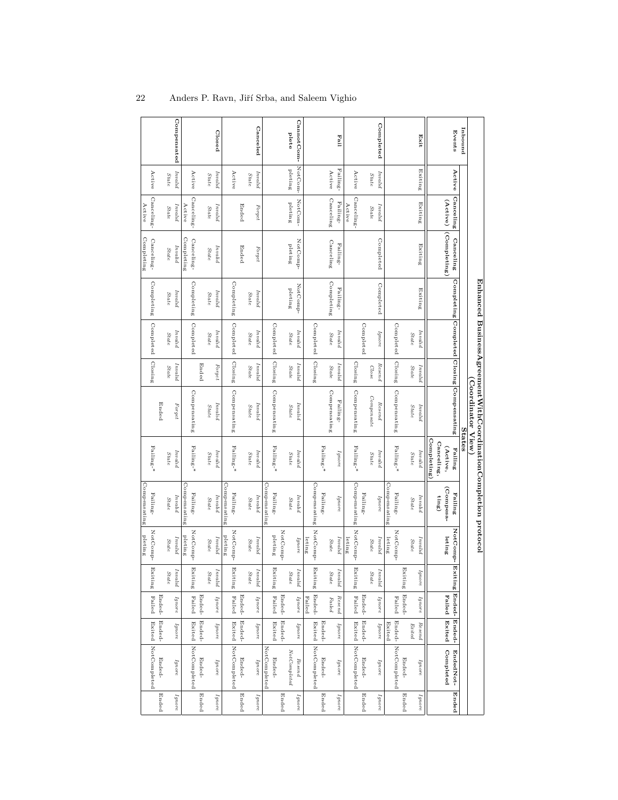|              |                     |               |                 |                                                                                                                                                                                                                                                                                            | pleting         | Compensating        |              |                                                                                                                |                       |              |              | Completing                | Active                    |              |                   |
|--------------|---------------------|---------------|-----------------|--------------------------------------------------------------------------------------------------------------------------------------------------------------------------------------------------------------------------------------------------------------------------------------------|-----------------|---------------------|--------------|----------------------------------------------------------------------------------------------------------------|-----------------------|--------------|--------------|---------------------------|---------------------------|--------------|-------------------|
|              | NotCompleted        | <b>Exited</b> | Failed          | Ţ<br>xiting                                                                                                                                                                                                                                                                                | NotComp-        | Failing-            | Failing-*    |                                                                                                                | Closing               | Completed    | Completing   | Canceling-                | Canceling-                | Active       |                   |
| Ended        | Ended-              | Ended-        | Ended-          |                                                                                                                                                                                                                                                                                            |                 |                     |              | Ended                                                                                                          |                       |              |              |                           |                           |              |                   |
|              |                     |               |                 | <b>State</b>                                                                                                                                                                                                                                                                               | <b>State</b>    | <b><i>State</i></b> | $State$      |                                                                                                                | $State$               | <b>State</b> | $State$      | <b>State</b>              | <b>State</b>              | $State$      |                   |
| Ignore       | Ignore              | Ignore        | Ignore          | Invalid                                                                                                                                                                                                                                                                                    | Invalid         | Invalid             | Invalid      | Forget                                                                                                         | Invalid               | Invalid      | Invalid      | Invalid                   | Invalid                   | Invalid      | Compensated       |
|              |                     |               |                 |                                                                                                                                                                                                                                                                                            | pleting         | Compensating        |              |                                                                                                                |                       |              |              | Completing                | Active                    |              |                   |
|              | NotCompleted        | <b>Exited</b> | Failed          | Ţ<br>xiting                                                                                                                                                                                                                                                                                | NotComp-        | Failing-            | Failing-*    | Compensating                                                                                                   |                       | Completed    | Completing   | Canceling-                | Canceling-                | Active       |                   |
| <b>Ended</b> | Ended-              | Ended-        | Ended-          |                                                                                                                                                                                                                                                                                            |                 |                     |              |                                                                                                                | Ended                 |              |              |                           |                           |              |                   |
|              |                     |               |                 | $State% \[ \includegraphics[width=1\textwidth]{figures/20000.pdf} \caption{Solution of the proposed method of the proposed method. The first case is a function of the method. The first case is a function of the method. The second case is a function of the method.} \label{fig:2000}$ | <b>State</b>    | <b>State</b>        | $State$      | <b>State</b>                                                                                                   |                       | $State$      | <b>State</b> | <b>State</b>              | <b>State</b>              | $State$      |                   |
| Ignore       | Ignore              | Ignore        | Ignore          | Invalid                                                                                                                                                                                                                                                                                    | Invalid         | Invalid             | Invalid      | Invalid                                                                                                        | $\mathit{Forder}$     | Invalid      | Invalid      | Invalid                   | Invalid                   | Invalid      | Closed            |
|              |                     |               |                 |                                                                                                                                                                                                                                                                                            | pleting         | Compensating        |              |                                                                                                                |                       |              |              |                           |                           |              |                   |
|              | Exited NotCompleted |               | Failed          | Ţ<br>xiting                                                                                                                                                                                                                                                                                | NotComp-        | Failing-            | Failing-*    | Compensating                                                                                                   | $_{\rm Class}$        | Completed    | Completing   |                           |                           | Active       |                   |
| Ended        | Ended-              | Ended-        | Ended-          |                                                                                                                                                                                                                                                                                            |                 |                     |              |                                                                                                                |                       |              |              | Ended                     | Ended                     |              |                   |
|              |                     |               |                 | <b>State</b>                                                                                                                                                                                                                                                                               | <b>State</b>    | <b>State</b>        | $State$      | <b>State</b>                                                                                                   | <b>State</b>          | $State$      | <b>State</b> |                           |                           | <b>State</b> |                   |
| Ignore       | Ignore              | Ignore        | Ignore          | Invalid                                                                                                                                                                                                                                                                                    | Invalid         | Invalid             | Invalid      | Invalid                                                                                                        | Invalid               | Invalid      | Invalid      | $\label{eq:cond} For get$ | $\label{eq:cond} For get$ | Invalid      | Canceled          |
|              | NotCompleted        |               |                 |                                                                                                                                                                                                                                                                                            |                 | Compensating        |              |                                                                                                                |                       |              |              |                           |                           |              |                   |
|              | Ended-              | <b>Exited</b> | Failed          | Exiting                                                                                                                                                                                                                                                                                    | pleting         | Failing-            | Failing-*    | Compensating                                                                                                   | Closing               | Completed    |              |                           |                           |              |                   |
| Ended        |                     | Ended-        | Ended-          |                                                                                                                                                                                                                                                                                            | NotComp-        |                     |              |                                                                                                                |                       |              |              |                           |                           |              |                   |
|              | NotCompleted        |               |                 | <b>State</b>                                                                                                                                                                                                                                                                               |                 | <b>State</b>        | <b>State</b> | <b>State</b>                                                                                                   | $State$               | <b>State</b> | pleting      | pleting                   | pleting                   | pleting      | plete             |
| Ignore       | Resend              | Ignore        | Ignore          | Invalid                                                                                                                                                                                                                                                                                    | Ignore          | Invalid             | Invalid      | Invalid                                                                                                        | Invalid               | Invalid      | NotComp-     | NotComp-                  | NotCom-                   |              | CannotCom-NotCom- |
|              |                     |               | Failed          |                                                                                                                                                                                                                                                                                            | leting          |                     |              |                                                                                                                |                       |              |              |                           |                           |              |                   |
|              | NotCompleted        | <b>Exited</b> | Ended-          | ă<br>xiting                                                                                                                                                                                                                                                                                | NotComp-        | Compensating        |              |                                                                                                                | Closing               | Completed    |              |                           |                           |              |                   |
| Ended        | Ended-              | Ended-        |                 |                                                                                                                                                                                                                                                                                            |                 | Failing-            | Failing-*    |                                                                                                                |                       |              |              |                           |                           |              |                   |
|              |                     |               | Failed          | $State$                                                                                                                                                                                                                                                                                    | State           |                     |              | Compensating                                                                                                   | <b>State</b>          | <b>State</b> | Completing   | Canceling                 | Canceling                 | Active       |                   |
| Ignore       | Ignore              | Ignore        | $\it{Research}$ | Invalid                                                                                                                                                                                                                                                                                    | Invalid         | $Igmore$            | $Igmore$     | Failing-                                                                                                       | Invalid               | Invalid      | Failing-     | Failing-                  | Failing-                  | Failing-     | Fail              |
|              |                     |               |                 |                                                                                                                                                                                                                                                                                            | leting          |                     |              |                                                                                                                |                       |              |              |                           | Active                    |              |                   |
|              | NotCompleted        | Exited        | Failed          | ă<br>xiting                                                                                                                                                                                                                                                                                | NotComp-        | Compensating        | Failing-*    | Compensating                                                                                                   | Closing               |              |              |                           | Canceling-                | Active       |                   |
| Ended        | Ended-              | Ended-        | Ended-          |                                                                                                                                                                                                                                                                                            |                 | Failing-            |              |                                                                                                                |                       | Completed    |              |                           |                           |              |                   |
|              |                     |               |                 | $Statee$                                                                                                                                                                                                                                                                                   | <b>State</b>    |                     | $State \\$   | $Compensete$                                                                                                   | $\mathcal{C}lose$     |              |              |                           | <b>State</b>              | $State$      |                   |
| Ignore       | Ignore              | Ignore        | Ignore          | Invalid                                                                                                                                                                                                                                                                                    | Invalid         | Ignore              | Invalid      | $\label{eq:resend} \begin{array}{ll} \hspace{-3.0cm} \textit{Resend} \end{array}$                              | $\it Research$        | Ignore       | Completed    | Completed                 | Invalid                   | Invalid      | Completed         |
|              |                     | Exited        |                 |                                                                                                                                                                                                                                                                                            | leting          | Compensating        |              |                                                                                                                |                       |              |              |                           |                           |              |                   |
|              | NotCompleted        | Ended-        | Failed          |                                                                                                                                                                                                                                                                                            | NotComp-        | Failing-            | Failing-*    | Compensating                                                                                                   | $\frac{1}{2}$ Closing | Completed    |              |                           |                           |              |                   |
| Ended        | Ended-              |               | Ended-          | Exiting                                                                                                                                                                                                                                                                                    |                 |                     |              |                                                                                                                |                       |              |              |                           |                           |              |                   |
|              |                     | Exited        |                 |                                                                                                                                                                                                                                                                                            | <b>State</b>    | <b>State</b>        | $State$      | <b>State</b>                                                                                                   | <b>State</b>          | $State$      |              |                           |                           |              |                   |
| Ignore       | Ignore              | Reservd       | Ignore          | Ignore                                                                                                                                                                                                                                                                                     | Invalid         | Invalid             | Invalid      | Invalid                                                                                                        | Invalid               | Invalid      | Exiting      | Exiting                   | Exiting                   | Exiting      | Exit              |
|              |                     |               |                 |                                                                                                                                                                                                                                                                                            |                 |                     | Completing)  |                                                                                                                |                       |              |              |                           |                           |              |                   |
|              |                     |               |                 |                                                                                                                                                                                                                                                                                            |                 | ting)               | Canceling,   |                                                                                                                |                       |              |              |                           |                           |              |                   |
|              | Completed           | Exited        | Failed          |                                                                                                                                                                                                                                                                                            | leting          | (Compesa-           | (Active,     |                                                                                                                |                       |              |              | (Completing)              | (Active)                  |              |                   |
| Ended        | EndedNot-           | Ended-        | Ended-          |                                                                                                                                                                                                                                                                                            | NotComp-Exiting | Failing             | Failing      | Completing Completed Closing Compensating                                                                      |                       |              |              | Canceling                 | Canceling                 | Active       | Events            |
|              |                     |               |                 |                                                                                                                                                                                                                                                                                            |                 |                     | States       |                                                                                                                |                       |              |              |                           |                           |              | Inbound           |
|              |                     |               |                 |                                                                                                                                                                                                                                                                                            |                 |                     |              | Coordinator View)                                                                                              |                       |              |              |                           |                           |              |                   |
|              |                     |               |                 |                                                                                                                                                                                                                                                                                            |                 |                     |              | ${\rm End}$ nhanced Business ${\bf A}$ greement ${\rm With}$ Coordination ${\rm Com}\ {\rm p}$ letion protocol |                       |              |              |                           |                           |              |                   |